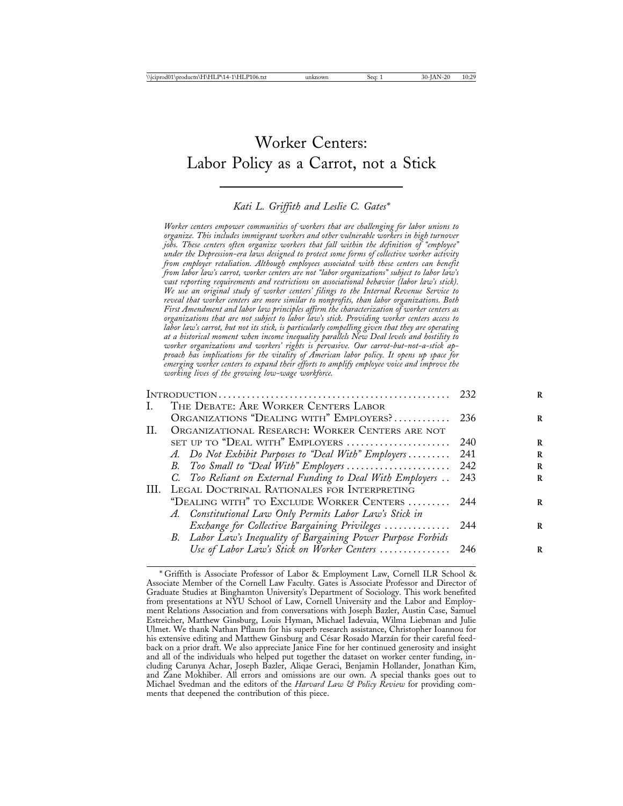# Worker Centers: Labor Policy as a Carrot, not a Stick

## *Kati L. Griffith and Leslie C. Gates\**

*Worker centers empower communities of workers that are challenging for labor unions to organize. This includes immigrant workers and other vulnerable workers in high turnover jobs. These centers often organize workers that fall within the definition of "employee" under the Depression-era laws designed to protect some forms of collective worker activity from employer retaliation. Although employees associated with these centers can benefit from labor law's carrot, worker centers are not "labor organizations" subject to labor law's vast reporting requirements and restrictions on associational behavior (labor law's stick). We use an original study of worker centers' filings to the Internal Revenue Service to reveal that worker centers are more similar to nonprofits, than labor organizations. Both First Amendment and labor law principles affirm the characterization of worker centers as organizations that are not subject to labor law's stick. Providing worker centers access to labor law's carrot, but not its stick, is particularly compelling given that they are operating at a historical moment when income inequality parallels New Deal levels and hostility to worker organizations and workers' rights is pervasive. Our carrot-but-not-a-stick approach has implications for the vitality of American labor policy. It opens up space for emerging worker centers to expand their efforts to amplify employee voice and improve the working lives of the growing low-wage workforce.*

|    |                                                               | 232  |
|----|---------------------------------------------------------------|------|
| L. | THE DEBATE: ARE WORKER CENTERS LABOR                          |      |
|    | ORGANIZATIONS "DEALING WITH" EMPLOYERS?                       | 236  |
| H. | ORGANIZATIONAL RESEARCH: WORKER CENTERS ARE NOT               |      |
|    | SET UP TO "DEAL WITH" EMPLOYERS                               | 240  |
|    | A. Do Not Exhibit Purposes to "Deal With" Employers           | 241  |
|    | B. Too Small to "Deal With" Employers                         | 242  |
|    | C. Too Reliant on External Funding to Deal With Employers     | 243  |
|    | III. LEGAL DOCTRINAL RATIONALES FOR INTERPRETING              |      |
|    | "DEALING WITH" TO EXCLUDE WORKER CENTERS                      | -244 |
|    | A. Constitutional Law Only Permits Labor Law's Stick in       |      |
|    | Exchange for Collective Bargaining Privileges                 | 244  |
|    | B. Labor Law's Inequality of Bargaining Power Purpose Forbids |      |
|    | Use of Labor Law's Stick on Worker Centers  246               |      |
|    |                                                               |      |

<sup>\*</sup> Griffith is Associate Professor of Labor & Employment Law, Cornell ILR School & Associate Member of the Cornell Law Faculty. Gates is Associate Professor and Director of Graduate Studies at Binghamton University's Department of Sociology. This work benefited from presentations at NYU School of Law, Cornell University and the Labor and Employment Relations Association and from conversations with Joseph Bazler, Austin Case, Samuel Estreicher, Matthew Ginsburg, Louis Hyman, Michael Iadevaia, Wilma Liebman and Julie Ulmet. We thank Nathan Pflaum for his superb research assistance, Christopher Ioannou for his extensive editing and Matthew Ginsburg and César Rosado Marzán for their careful feedback on a prior draft. We also appreciate Janice Fine for her continued generosity and insight and all of the individuals who helped put together the dataset on worker center funding, including Carunya Achar, Joseph Bazler, Aliqae Geraci, Benjamin Hollander, Jonathan Kim, and Zane Mokhiber. All errors and omissions are our own. A special thanks goes out to Michael Svedman and the editors of the *Harvard Law & Policy Review* for providing comments that deepened the contribution of this piece.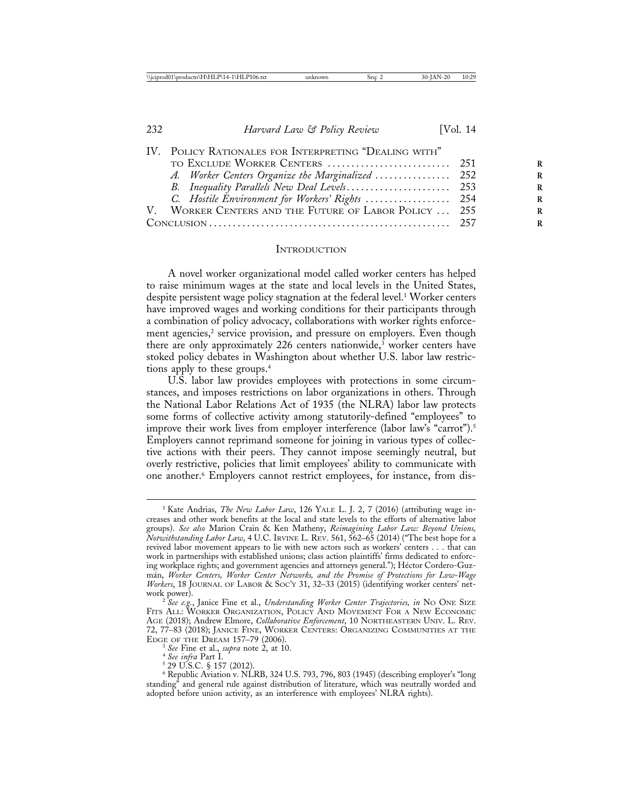| IV. POLICY RATIONALES FOR INTERPRETING "DEALING WITH" |  |
|-------------------------------------------------------|--|
|                                                       |  |
| A. Worker Centers Organize the Marginalized  252      |  |
|                                                       |  |
| C. Hostile Environment for Workers' Rights  254       |  |
| V. WORKER CENTERS AND THE FUTURE OF LABOR POLICY  255 |  |
|                                                       |  |
|                                                       |  |

#### **INTRODUCTION**

A novel worker organizational model called worker centers has helped to raise minimum wages at the state and local levels in the United States, despite persistent wage policy stagnation at the federal level.1 Worker centers have improved wages and working conditions for their participants through a combination of policy advocacy, collaborations with worker rights enforcement agencies,<sup>2</sup> service provision, and pressure on employers. Even though there are only approximately 226 centers nationwide,<sup>3</sup> worker centers have stoked policy debates in Washington about whether U.S. labor law restrictions apply to these groups.4

U.S. labor law provides employees with protections in some circumstances, and imposes restrictions on labor organizations in others. Through the National Labor Relations Act of 1935 (the NLRA) labor law protects some forms of collective activity among statutorily-defined "employees" to improve their work lives from employer interference (labor law's "carrot").<sup>5</sup> Employers cannot reprimand someone for joining in various types of collective actions with their peers. They cannot impose seemingly neutral, but overly restrictive, policies that limit employees' ability to communicate with one another.6 Employers cannot restrict employees, for instance, from dis-

<sup>1</sup> Kate Andrias, *The New Labor Law*, 126 YALE L. J. 2, 7 (2016) (attributing wage increases and other work benefits at the local and state levels to the efforts of alternative labor groups). *See also* Marion Crain & Ken Matheny, *Reimagining Labor Law: Beyond Unions, Notwithstanding Labor Law*, 4 U.C. IRVINE L. REV. 561, 562–65 (2014) ("The best hope for a revived labor movement appears to lie with new actors such as workers' centers . . . that can work in partnerships with established unions; class action plaintiffs' firms dedicated to enforcing workplace rights; and government agencies and attorneys general."); Héctor Cordero-Guzm´an, *Worker Centers, Worker Center Networks, and the Promise of Protections for Low-Wage Workers*, 18 JOURNAL OF LABOR & SOC'Y 31, 32–33 (2015) (identifying worker centers' network power). <sup>2</sup> *See e.g.*, Janice Fine et al., *Understanding Worker Center Trajectories, in* NO ONE SIZE

FITS ALL: WORKER ORGANIZATION, POLICY AND MOVEMENT FOR A NEW ECONOMIC AGE (2018); Andrew Elmore, *Collaborative Enforcement*, 10 NORTHEASTERN UNIV. L. REV. 72, 77–83 (2018); JANICE FINE, WORKER CENTERS: ORGANIZING COMMUNITIES AT THE

<sup>&</sup>lt;sup>3</sup> See Fine et al., *supra* note 2, at 10.<br><sup>4</sup> See infra Part I.<br><sup>5</sup> 29 U.S.C. § 157 (2012).

<sup>6</sup> Republic Aviation v. NLRB, 324 U.S. 793, 796, 803 (1945) (describing employer's "long standing" and general rule against distribution of literature, which was neutrally worded and adopted before union activity, as an interference with employees' NLRA rights).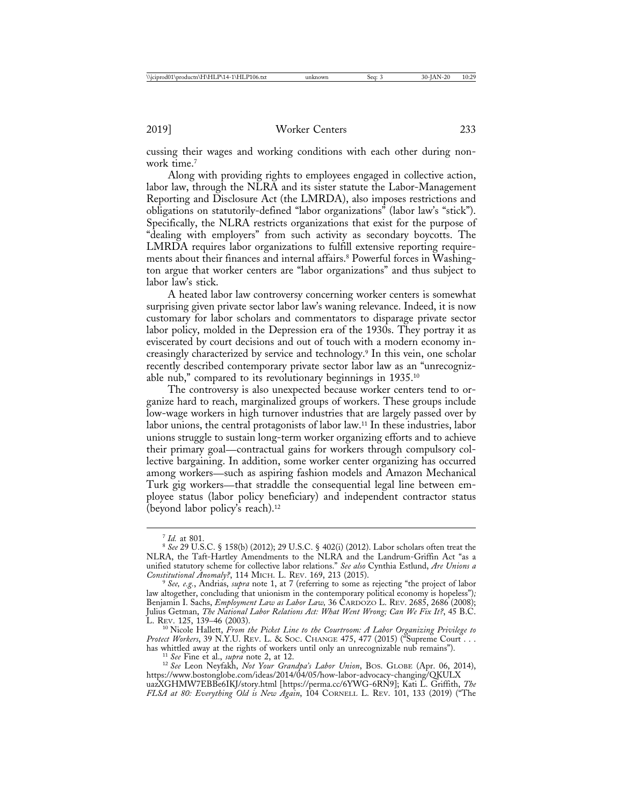cussing their wages and working conditions with each other during nonwork time.<sup>7</sup>

Along with providing rights to employees engaged in collective action, labor law, through the NLRA and its sister statute the Labor-Management Reporting and Disclosure Act (the LMRDA), also imposes restrictions and obligations on statutorily-defined "labor organizations" (labor law's "stick"). Specifically, the NLRA restricts organizations that exist for the purpose of "dealing with employers" from such activity as secondary boycotts. The LMRDA requires labor organizations to fulfill extensive reporting requirements about their finances and internal affairs.<sup>8</sup> Powerful forces in Washington argue that worker centers are "labor organizations" and thus subject to labor law's stick.

A heated labor law controversy concerning worker centers is somewhat surprising given private sector labor law's waning relevance. Indeed, it is now customary for labor scholars and commentators to disparage private sector labor policy, molded in the Depression era of the 1930s. They portray it as eviscerated by court decisions and out of touch with a modern economy increasingly characterized by service and technology.9 In this vein, one scholar recently described contemporary private sector labor law as an "unrecognizable nub," compared to its revolutionary beginnings in 1935.10

The controversy is also unexpected because worker centers tend to organize hard to reach, marginalized groups of workers. These groups include low-wage workers in high turnover industries that are largely passed over by labor unions, the central protagonists of labor law.11 In these industries, labor unions struggle to sustain long-term worker organizing efforts and to achieve their primary goal—contractual gains for workers through compulsory collective bargaining. In addition, some worker center organizing has occurred among workers—such as aspiring fashion models and Amazon Mechanical Turk gig workers—that straddle the consequential legal line between employee status (labor policy beneficiary) and independent contractor status (beyond labor policy's reach).12

L. REV. 125, 139–46 (2003). <sup>10</sup> Nicole Hallett, *From the Picket Line to the Courtroom: A Labor Organizing Privilege to Protect Workers*, 39 N.Y.U. REV. L. & SOC. CHANGE 475, 477 (2015) ("Supreme Court . . . has whittled away at the rights of workers until only an unrecognizable nub remains").<br><sup>11</sup> See Fine et al., *supra* note 2, at 12.<br><sup>12</sup> See Leon Neyfakh, *Not Your Grandpa's Labor Union*, BOS. GLOBE (Apr. 06, 2014),

<sup>7</sup> *Id.* at 801. <sup>8</sup> *See* 29 U.S.C. § 158(b) (2012); 29 U.S.C. § 402(i) (2012). Labor scholars often treat the NLRA, the Taft-Hartley Amendments to the NLRA and the Landrum-Griffin Act "as a unified statutory scheme for collective labor relations." *See also* Cynthia Estlund, *Are Unions a*

<sup>&</sup>lt;sup>9</sup> See, e.g., Andrias, *supra* note 1, at 7 (referring to some as rejecting "the project of labor law altogether, concluding that unionism in the contemporary political economy is hopeless")*;* Benjamin I. Sachs, *Employment Law as Labor Law,* 36 CARDOZO L. REV. 2685, 2686 (2008); Julius Getman, *The National Labor Relations Act: What Went Wrong; Can We Fix It?*, 45 B.C.

https://www.bostonglobe.com/ideas/2014/04/05/how-labor-advocacy-changing/QKULX uazXGHMW7EBBe6IKJ/story.html [https://perma.cc/6YWG-6RN9]; Kati L. Griffith, *The FLSA at 80: Everything Old is New Again*, 104 CORNELL L. REV. 101, 133 (2019) ("The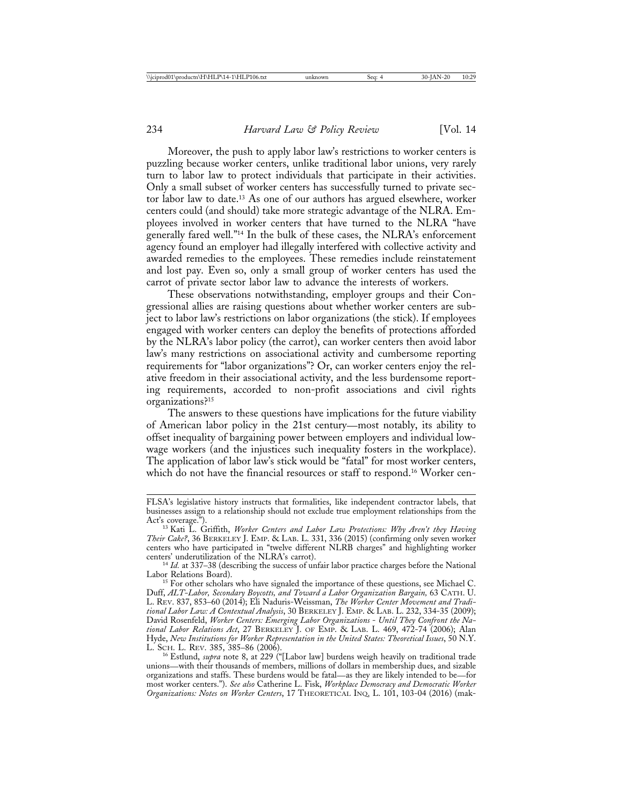Moreover, the push to apply labor law's restrictions to worker centers is puzzling because worker centers, unlike traditional labor unions, very rarely turn to labor law to protect individuals that participate in their activities. Only a small subset of worker centers has successfully turned to private sector labor law to date.13 As one of our authors has argued elsewhere, worker centers could (and should) take more strategic advantage of the NLRA. Employees involved in worker centers that have turned to the NLRA "have generally fared well."14 In the bulk of these cases, the NLRA's enforcement agency found an employer had illegally interfered with collective activity and awarded remedies to the employees. These remedies include reinstatement and lost pay. Even so, only a small group of worker centers has used the carrot of private sector labor law to advance the interests of workers.

These observations notwithstanding, employer groups and their Congressional allies are raising questions about whether worker centers are subject to labor law's restrictions on labor organizations (the stick). If employees engaged with worker centers can deploy the benefits of protections afforded by the NLRA's labor policy (the carrot), can worker centers then avoid labor law's many restrictions on associational activity and cumbersome reporting requirements for "labor organizations"? Or, can worker centers enjoy the relative freedom in their associational activity, and the less burdensome reporting requirements, accorded to non-profit associations and civil rights organizations?15

The answers to these questions have implications for the future viability of American labor policy in the 21st century—most notably, its ability to offset inequality of bargaining power between employers and individual lowwage workers (and the injustices such inequality fosters in the workplace). The application of labor law's stick would be "fatal" for most worker centers, which do not have the financial resources or staff to respond.<sup>16</sup> Worker cen-

FLSA's legislative history instructs that formalities, like independent contractor labels, that businesses assign to a relationship should not exclude true employment relationships from the Act's coverage.").

<sup>&</sup>lt;sup>13</sup> Kati L. Griffith, *Worker Centers and Labor Law Protections: Why Aren't they Having Their Cake?*, 36 BERKELEY J. EMP. & LAB. L. 331, 336 (2015) (confirming only seven worker centers who have participated in "twelve different NLRB charges" and highlighting worker

<sup>&</sup>lt;sup>14</sup> *Id.* at 337–38 (describing the success of unfair labor practice charges before the National Labor Relations Board).

For other scholars who have signaled the importance of these questions, see Michael C. Duff, *ALT-Labor, Secondary Boycotts, and Toward a Labor Organization Bargain,* 63 CATH. U. L. REV. 837, 853–60 (2014); Eli Naduris-Weissman, *The Worker Center Movement and Traditional Labor Law: A Contextual Analysis*, 30 BERKELEY J. EMP. & LAB. L. 232, 334-35 (2009); David Rosenfeld, *Worker Centers: Emerging Labor Organizations* - *Until They Confront the National Labor Relations Act*, 27 BERKELEY J. OF EMP. & LAB. L. 469, 472-74 (2006); Alan Hyde, *New Institutions for Worker Representation in the United States: Theoretical Issues*, 50 N.Y.<br>L. SCH. L. REV. 385, 385–86 (2006).

<sup>&</sup>lt;sup>16</sup> Estlund, *supra* note 8, at 229 ("[Labor law] burdens weigh heavily on traditional trade unions—with their thousands of members, millions of dollars in membership dues, and sizable organizations and staffs. These burdens would be fatal—as they are likely intended to be—for most worker centers."). *See also* Catherine L. Fisk, *Workplace Democracy and Democratic Worker Organizations: Notes on Worker Centers*, 17 THEORETICAL INQ. L. 101, 103-04 (2016) (mak-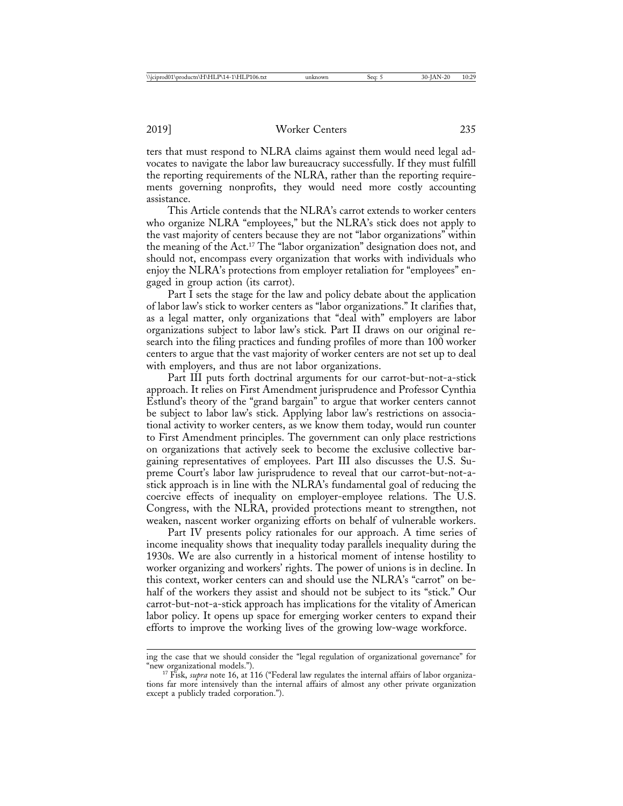ters that must respond to NLRA claims against them would need legal advocates to navigate the labor law bureaucracy successfully. If they must fulfill the reporting requirements of the NLRA, rather than the reporting requirements governing nonprofits, they would need more costly accounting assistance.

This Article contends that the NLRA's carrot extends to worker centers who organize NLRA "employees," but the NLRA's stick does not apply to the vast majority of centers because they are not "labor organizations" within the meaning of the Act.17 The "labor organization" designation does not, and should not, encompass every organization that works with individuals who enjoy the NLRA's protections from employer retaliation for "employees" engaged in group action (its carrot).

Part I sets the stage for the law and policy debate about the application of labor law's stick to worker centers as "labor organizations." It clarifies that, as a legal matter, only organizations that "deal with" employers are labor organizations subject to labor law's stick. Part II draws on our original research into the filing practices and funding profiles of more than 100 worker centers to argue that the vast majority of worker centers are not set up to deal with employers, and thus are not labor organizations.

Part III puts forth doctrinal arguments for our carrot-but-not-a-stick approach. It relies on First Amendment jurisprudence and Professor Cynthia Estlund's theory of the "grand bargain" to argue that worker centers cannot be subject to labor law's stick. Applying labor law's restrictions on associational activity to worker centers, as we know them today, would run counter to First Amendment principles. The government can only place restrictions on organizations that actively seek to become the exclusive collective bargaining representatives of employees. Part III also discusses the U.S. Supreme Court's labor law jurisprudence to reveal that our carrot-but-not-astick approach is in line with the NLRA's fundamental goal of reducing the coercive effects of inequality on employer-employee relations. The U.S. Congress, with the NLRA, provided protections meant to strengthen, not weaken, nascent worker organizing efforts on behalf of vulnerable workers.

Part IV presents policy rationales for our approach. A time series of income inequality shows that inequality today parallels inequality during the 1930s. We are also currently in a historical moment of intense hostility to worker organizing and workers' rights. The power of unions is in decline. In this context, worker centers can and should use the NLRA's "carrot" on behalf of the workers they assist and should not be subject to its "stick." Our carrot-but-not-a-stick approach has implications for the vitality of American labor policy. It opens up space for emerging worker centers to expand their efforts to improve the working lives of the growing low-wage workforce.

ing the case that we should consider the "legal regulation of organizational governance" for "new organizational models.").

<sup>&</sup>lt;sup>17</sup> Fisk, *supra* note 16, at 116 ("Federal law regulates the internal affairs of labor organizations far more intensively than the internal affairs of almost any other private organization except a publicly traded corporation.").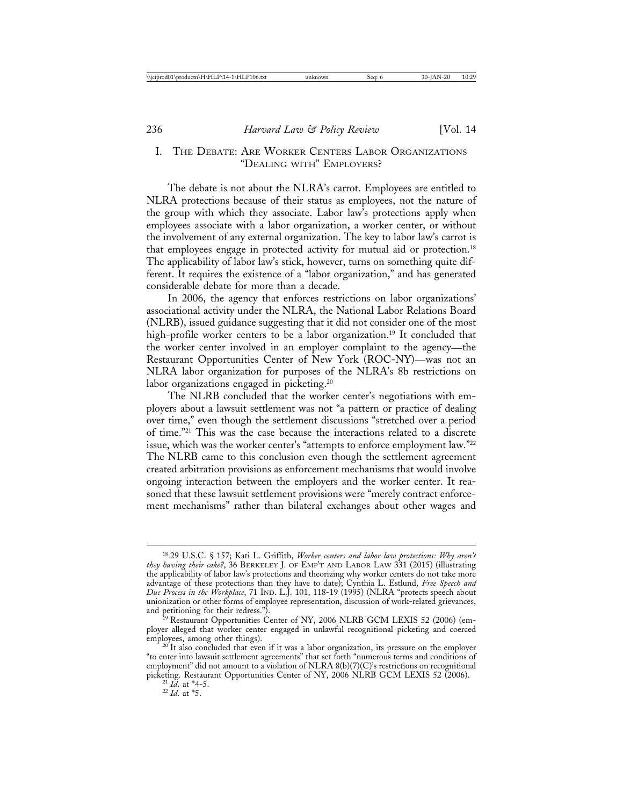# I. THE DEBATE: ARE WORKER CENTERS LABOR ORGANIZATIONS "DEALING WITH" EMPLOYERS?

The debate is not about the NLRA's carrot. Employees are entitled to NLRA protections because of their status as employees, not the nature of the group with which they associate. Labor law's protections apply when employees associate with a labor organization, a worker center, or without the involvement of any external organization. The key to labor law's carrot is that employees engage in protected activity for mutual aid or protection.18 The applicability of labor law's stick, however, turns on something quite different. It requires the existence of a "labor organization," and has generated considerable debate for more than a decade.

In 2006, the agency that enforces restrictions on labor organizations' associational activity under the NLRA, the National Labor Relations Board (NLRB), issued guidance suggesting that it did not consider one of the most high-profile worker centers to be a labor organization.<sup>19</sup> It concluded that the worker center involved in an employer complaint to the agency—the Restaurant Opportunities Center of New York (ROC-NY)—was not an NLRA labor organization for purposes of the NLRA's 8b restrictions on labor organizations engaged in picketing.<sup>20</sup>

The NLRB concluded that the worker center's negotiations with employers about a lawsuit settlement was not "a pattern or practice of dealing over time," even though the settlement discussions "stretched over a period of time."21 This was the case because the interactions related to a discrete issue, which was the worker center's "attempts to enforce employment law."22 The NLRB came to this conclusion even though the settlement agreement created arbitration provisions as enforcement mechanisms that would involve ongoing interaction between the employers and the worker center. It reasoned that these lawsuit settlement provisions were "merely contract enforcement mechanisms" rather than bilateral exchanges about other wages and

<sup>18</sup> 29 U.S.C. § 157; Kati L. Griffith, *Worker centers and labor law protections: Why aren't they having their cake?*, 36 BERKELEY J. OF EMP'T AND LABOR LAW 331 (2015) (illustrating the applicability of labor law's protections and theorizing why worker centers do not take more advantage of these protections than they have to date); Cynthia L. Estlund, *Free Speech and Due Process in the Workplace*, 71 IND. L.J*.* 101, 118-19 (1995) (NLRA "protects speech about unionization or other forms of employee representation, discussion of work-related grievances, and petitioning for their redress.").

<sup>&</sup>lt;sup>9</sup> Restaurant Opportunities Center of NY, 2006 NLRB GCM LEXIS 52 (2006) (employer alleged that worker center engaged in unlawful recognitional picketing and coerced

<sup>&</sup>lt;sup>20</sup> It also concluded that even if it was a labor organization, its pressure on the employer "to enter into lawsuit settlement agreements" that set forth "numerous terms and conditions of employment" did not amount to a violation of NLRA 8(b)(7)(C)'s restrictions on recognitional picketing. Restaurant Opportunities Center of NY, 2006 NLRB GCM LEXIS 52 (2006).<br><sup>21</sup> *Id.* at \*4-5. <sup>22</sup> *Id.* at \*5.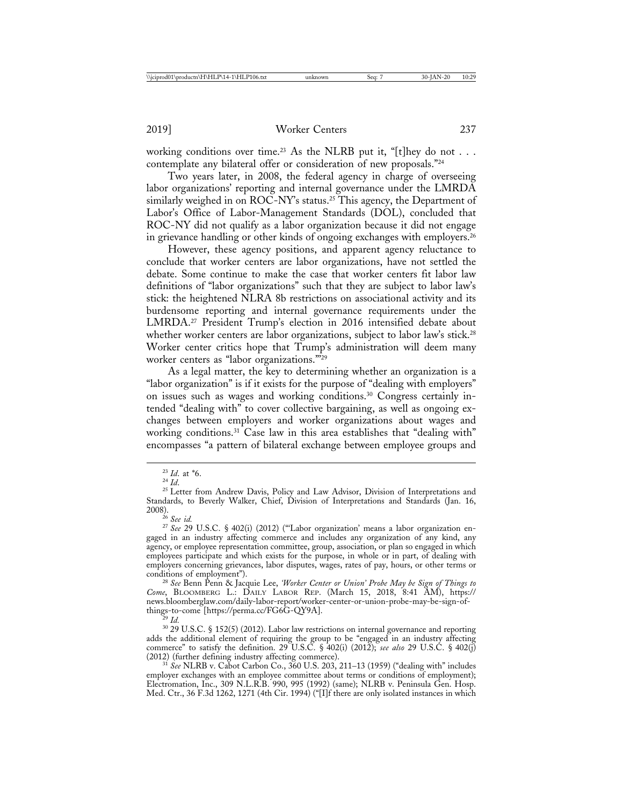working conditions over time.<sup>23</sup> As the NLRB put it, "[t]hey do not . . . contemplate any bilateral offer or consideration of new proposals."24

Two years later, in 2008, the federal agency in charge of overseeing labor organizations' reporting and internal governance under the LMRDA similarly weighed in on  $\overline{ROC-NY}$ 's status.<sup>25</sup> This agency, the Department of Labor's Office of Labor-Management Standards (DOL), concluded that ROC-NY did not qualify as a labor organization because it did not engage in grievance handling or other kinds of ongoing exchanges with employers.<sup>26</sup>

However, these agency positions, and apparent agency reluctance to conclude that worker centers are labor organizations, have not settled the debate. Some continue to make the case that worker centers fit labor law definitions of "labor organizations" such that they are subject to labor law's stick: the heightened NLRA 8b restrictions on associational activity and its burdensome reporting and internal governance requirements under the LMRDA.27 President Trump's election in 2016 intensified debate about whether worker centers are labor organizations, subject to labor law's stick.<sup>28</sup> Worker center critics hope that Trump's administration will deem many worker centers as "labor organizations."'29

As a legal matter, the key to determining whether an organization is a "labor organization" is if it exists for the purpose of "dealing with employers" on issues such as wages and working conditions.30 Congress certainly intended "dealing with" to cover collective bargaining, as well as ongoing exchanges between employers and worker organizations about wages and working conditions.<sup>31</sup> Case law in this area establishes that "dealing with" encompasses "a pattern of bilateral exchange between employee groups and

<sup>&</sup>lt;sup>23</sup> *Id*. at \*6.<br><sup>24</sup> *Id*. <sup>25</sup> Letter from Andrew Davis, Policy and Law Advisor, Division of Interpretations and Standards, to Beverly Walker, Chief, Division of Interpretations and Standards (Jan. 16, 2008).

<sup>&</sup>lt;sup>27</sup> See 29 U.S.C. § 402(i) (2012) ("Labor organization' means a labor organization engaged in an industry affecting commerce and includes any organization of any kind, any agency, or employee representation committee, group, association, or plan so engaged in which employees participate and which exists for the purpose, in whole or in part, of dealing with employers concerning grievances, labor disputes, wages, rates of pay, hours, or other terms or conditions of employment").

conditions of employment"). <sup>28</sup> *See* Benn Penn & Jacquie Lee, *'Worker Center or Union' Probe May be Sign of Things to Come*, BLOOMBERG L.: DAILY LABOR REP. (March 15, 2018, 8:41 AM), https:// news.bloomberglaw.com/daily-labor-report/worker-center-or-union-probe-may-be-sign-of-

things-to-come [https://perma.cc/FG6G-QY9A]. <sup>29</sup> *Id.* <sup>30</sup> 29 U.S.C. § 152(5) (2012). Labor law restrictions on internal governance and reporting adds the additional element of requiring the group to be "engaged in an industry affecting commerce" to satisfy the definition. 29 U.S.C. § 402(i) (2012); *see also* 29 U.S.C. § 402(j) (2012) (further defining industry affecting commerce). <sup>31</sup> *See* NLRB v. Cabot Carbon Co., 360 U.S. 203, 211–13 (1959) ("dealing with" includes

employer exchanges with an employee committee about terms or conditions of employment); Electromation, Inc., 309 N.L.R.B. 990, 995 (1992) (same); NLRB v. Peninsula Gen. Hosp. Med. Ctr., 36 F.3d 1262, 1271 (4th Cir. 1994) ("[I]f there are only isolated instances in which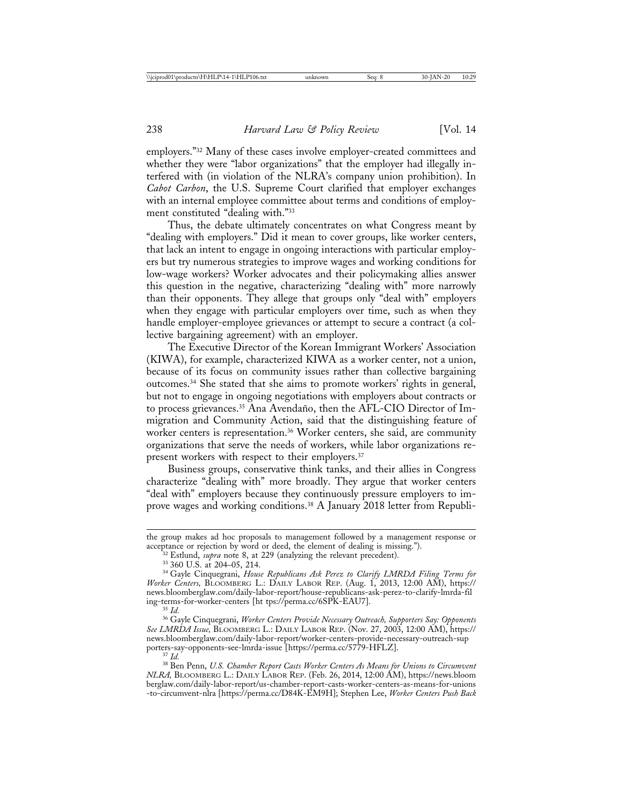employers."32 Many of these cases involve employer-created committees and whether they were "labor organizations" that the employer had illegally interfered with (in violation of the NLRA's company union prohibition). In *Cabot Carbon*, the U.S. Supreme Court clarified that employer exchanges with an internal employee committee about terms and conditions of employment constituted "dealing with."33

Thus, the debate ultimately concentrates on what Congress meant by "dealing with employers." Did it mean to cover groups, like worker centers, that lack an intent to engage in ongoing interactions with particular employers but try numerous strategies to improve wages and working conditions for low-wage workers? Worker advocates and their policymaking allies answer this question in the negative, characterizing "dealing with" more narrowly than their opponents. They allege that groups only "deal with" employers when they engage with particular employers over time, such as when they handle employer-employee grievances or attempt to secure a contract (a collective bargaining agreement) with an employer.

The Executive Director of the Korean Immigrant Workers' Association (KIWA), for example, characterized KIWA as a worker center, not a union, because of its focus on community issues rather than collective bargaining outcomes.34 She stated that she aims to promote workers' rights in general, but not to engage in ongoing negotiations with employers about contracts or to process grievances.<sup>35</sup> Ana Avendaño, then the AFL-CIO Director of Immigration and Community Action, said that the distinguishing feature of worker centers is representation.<sup>36</sup> Worker centers, she said, are community organizations that serve the needs of workers, while labor organizations represent workers with respect to their employers.<sup>37</sup>

Business groups, conservative think tanks, and their allies in Congress characterize "dealing with" more broadly. They argue that worker centers "deal with" employers because they continuously pressure employers to improve wages and working conditions.38 A January 2018 letter from Republi-

the group makes ad hoc proposals to management followed by a management response or acceptance or rejection by word or deed, the element of dealing is missing.").

<sup>&</sup>lt;sup>32</sup> Estlund, *supra* note 8, at 229 (analyzing the relevant precedent).<br><sup>33</sup> 360 U.S. at 204–05, 214.<br><sup>34</sup> Gayle Cinquegrani, *House Republicans Ask Perez to Clarify LMRDA Filing Terms for Worker Centers,* BLOOMBERG L.: DAILY LABOR REP. (Aug. 1, 2013, 12:00 AM), https:// news.bloomberglaw.com/daily-labor-report/house-republicans-ask-perez-to-clarify-lmrda-fil ing-terms-for-worker-centers [ht tps://perma.cc/6SPK-EAU7]. <sup>35</sup> *Id.* <sup>36</sup> Gayle Cinquegrani, *Worker Centers Provide Necessary Outreach, Supporters Say: Opponents*

*See LMRDA Issue,* BLOOMBERG L.: DAILY LABOR REP. (Nov. 27, 2003, 12:00 AM), https:// news.bloomberglaw.com/daily-labor-report/worker-centers-provide-necessary-outreach-sup

porters-say-opponents-see-lmrda-issue [https://perma.cc/5779-HFLZ]. <sup>37</sup> *Id.* <sup>38</sup> Ben Penn, *U.S. Chamber Report Casts Worker Centers As Means for Unions to Circumvent NLRA,* BLOOMBERG L.: DAILY LABOR REP. (Feb. 26, 2014, 12:00 AM), https://news.bloom berglaw.com/daily-labor-report/us-chamber-report-casts-worker-centers-as-means-for-unions -to-circumvent-nlra [https://perma.cc/D84K-EM9H]; Stephen Lee, *Worker Centers Push Back*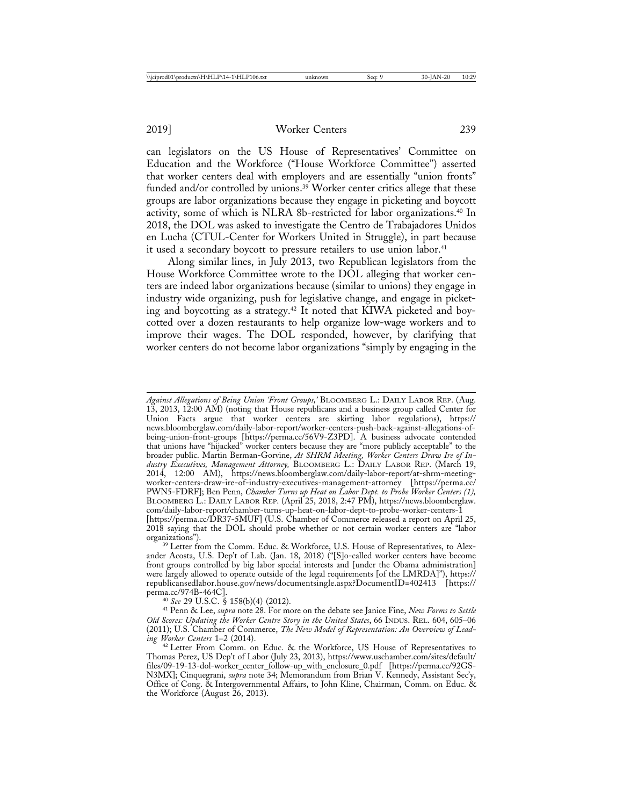2019] Worker Centers 239

can legislators on the US House of Representatives' Committee on Education and the Workforce ("House Workforce Committee") asserted that worker centers deal with employers and are essentially "union fronts" funded and/or controlled by unions.<sup>39</sup> Worker center critics allege that these groups are labor organizations because they engage in picketing and boycott activity, some of which is NLRA 8b-restricted for labor organizations.<sup>40</sup> In 2018, the DOL was asked to investigate the Centro de Trabajadores Unidos en Lucha (CTUL-Center for Workers United in Struggle), in part because it used a secondary boycott to pressure retailers to use union labor.<sup>41</sup>

Along similar lines, in July 2013, two Republican legislators from the House Workforce Committee wrote to the DOL alleging that worker centers are indeed labor organizations because (similar to unions) they engage in industry wide organizing, push for legislative change, and engage in picketing and boycotting as a strategy.42 It noted that KIWA picketed and boycotted over a dozen restaurants to help organize low-wage workers and to improve their wages. The DOL responded, however, by clarifying that worker centers do not become labor organizations "simply by engaging in the

perma.cc/974B-464C]. <sup>40</sup> *See* 29 U.S.C. § 158(b)(4) (2012). <sup>41</sup> Penn & Lee, *supra* note 28. For more on the debate see Janice Fine, *New Forms to Settle Old Scores: Updating the Worker Centre Story in the United States*, 66 INDUS. REL. 604, 605–06 (2011); U.S. Chamber of Commerce, *The New Model of Representation: An Overview of Lead-*

*Against Allegations of Being Union 'Front Groups,'* BLOOMBERG L.: DAILY LABOR REP. (Aug. 13, 2013, 12:00 AM) (noting that House republicans and a business group called Center for Union Facts argue that worker centers are skirting labor regulations), https:// news.bloomberglaw.com/daily-labor-report/worker-centers-push-back-against-allegations-ofbeing-union-front-groups [https://perma.cc/56V9-Z3PD]. A business advocate contended that unions have "hijacked" worker centers because they are "more publicly acceptable" to the broader public. Martin Berman-Gorvine, *At SHRM Meeting, Worker Centers Draw Ire of Industry Executives, Management Attorney,* BLOOMBERG L.: DAILY LABOR REP. (March 19, 2014, 12:00 AM), https://news.bloomberglaw.com/daily-labor-report/at-shrm-meetingworker-centers-draw-ire-of-industry-executives-management-attorney [https://perma.cc/ PWN5-FDRF]; Ben Penn, *Chamber Turns up Heat on Labor Dept. to Probe Worker Centers (1),* BLOOMBERG L.: DAILY LABOR REP. (April 25, 2018, 2:47 PM), https://news.bloomberglaw. com/daily-labor-report/chamber-turns-up-heat-on-labor-dept-to-probe-worker-centers-1 [https://perma.cc/DR37-5MUF] (U.S. Chamber of Commerce released a report on April 25, 2018 saying that the DOL should probe whether or not certain worker centers are "labor organizations").

<sup>&</sup>lt;sup>39</sup> Letter from the Comm. Educ. & Workforce, U.S. House of Representatives, to Alexander Acosta, U.S. Dep't of Lab. (Jan. 18, 2018) ("[S]o-called worker centers have become front groups controlled by big labor special interests and [under the Obama administration] were largely allowed to operate outside of the legal requirements [of the LMRDA]"), https:// republicansedlabor.house.gov/news/documentsingle.aspx?DocumentID=402413 [https://

<sup>&</sup>lt;sup>42</sup> Letter From Comm. on Educ. & the Workforce, US House of Representatives to Thomas Perez, US Dep't of Labor (July 23, 2013), https://www.uschamber.com/sites/default/ files/09-19-13-dol-worker\_center\_follow-up\_with\_enclosure\_0.pdf [https://perma.cc/92GS-N3MX]; Cinquegrani, *supra* note 34; Memorandum from Brian V. Kennedy, Assistant Sec'y, Office of Cong. & Intergovernmental Affairs, to John Kline, Chairman, Comm. on Educ. & the Workforce (August 26, 2013).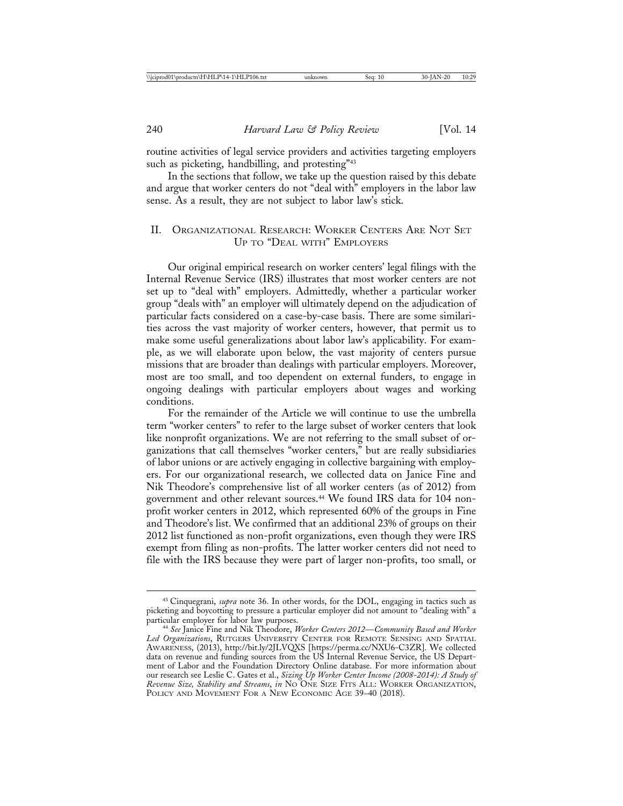routine activities of legal service providers and activities targeting employers such as picketing, handbilling, and protesting"<sup>43</sup>

In the sections that follow, we take up the question raised by this debate and argue that worker centers do not "deal with" employers in the labor law sense. As a result, they are not subject to labor law's stick.

## II. ORGANIZATIONAL RESEARCH: WORKER CENTERS ARE NOT SET UP TO "DEAL WITH" EMPLOYERS

Our original empirical research on worker centers' legal filings with the Internal Revenue Service (IRS) illustrates that most worker centers are not set up to "deal with" employers. Admittedly, whether a particular worker group "deals with" an employer will ultimately depend on the adjudication of particular facts considered on a case-by-case basis. There are some similarities across the vast majority of worker centers, however, that permit us to make some useful generalizations about labor law's applicability. For example, as we will elaborate upon below, the vast majority of centers pursue missions that are broader than dealings with particular employers. Moreover, most are too small, and too dependent on external funders, to engage in ongoing dealings with particular employers about wages and working conditions.

For the remainder of the Article we will continue to use the umbrella term "worker centers" to refer to the large subset of worker centers that look like nonprofit organizations. We are not referring to the small subset of organizations that call themselves "worker centers," but are really subsidiaries of labor unions or are actively engaging in collective bargaining with employers. For our organizational research, we collected data on Janice Fine and Nik Theodore's comprehensive list of all worker centers (as of 2012) from government and other relevant sources.44 We found IRS data for 104 nonprofit worker centers in 2012, which represented 60% of the groups in Fine and Theodore's list. We confirmed that an additional 23% of groups on their 2012 list functioned as non-profit organizations, even though they were IRS exempt from filing as non-profits. The latter worker centers did not need to file with the IRS because they were part of larger non-profits, too small, or

<sup>43</sup> Cinquegrani, *supra* note 36. In other words, for the DOL, engaging in tactics such as picketing and boycotting to pressure a particular employer did not amount to "dealing with" a

<sup>&</sup>lt;sup>44</sup> See Janice Fine and Nik Theodore, *Worker Centers 2012—Community Based and Worker Led Organizations*, RUTGERS UNIVERSITY CENTER FOR REMOTE SENSING AND SPATIAL AWARENESS, (2013), http://bit.ly/2JLVQXS [https://perma.cc/NXU6-C3ZR]. We collected data on revenue and funding sources from the US Internal Revenue Service, the US Department of Labor and the Foundation Directory Online database. For more information about our research see Leslie C. Gates et al., *Sizing Up Worker Center Income (2008-2014): A Study of Revenue Size, Stability and Streams*, *in* NO ONE SIZE FITS ALL: WORKER ORGANIZATION, POLICY AND MOVEMENT FOR A NEW ECONOMIC AGE 39–40 (2018).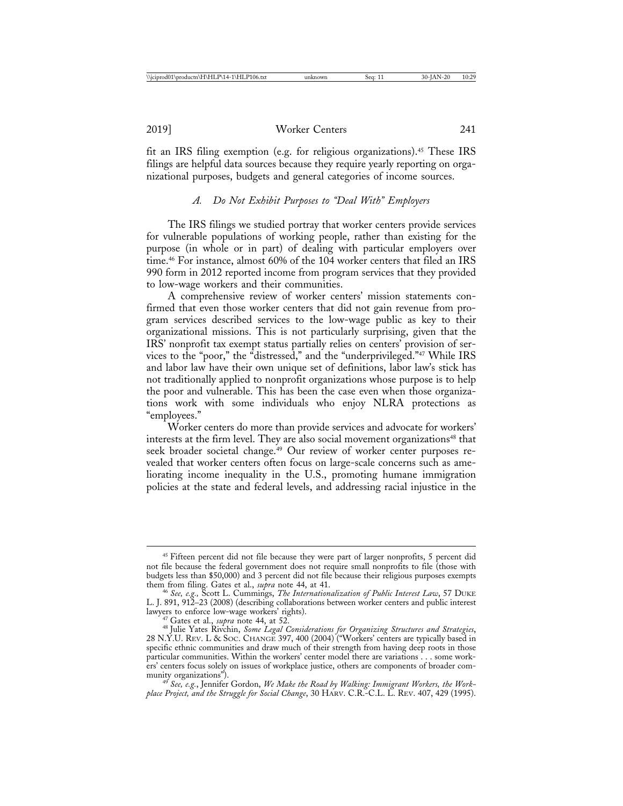fit an IRS filing exemption (e.g. for religious organizations).45 These IRS filings are helpful data sources because they require yearly reporting on organizational purposes, budgets and general categories of income sources.

### *A. Do Not Exhibit Purposes to "Deal With" Employers*

The IRS filings we studied portray that worker centers provide services for vulnerable populations of working people, rather than existing for the purpose (in whole or in part) of dealing with particular employers over time.<sup>46</sup> For instance, almost 60% of the 104 worker centers that filed an IRS 990 form in 2012 reported income from program services that they provided to low-wage workers and their communities.

A comprehensive review of worker centers' mission statements confirmed that even those worker centers that did not gain revenue from program services described services to the low-wage public as key to their organizational missions. This is not particularly surprising, given that the IRS' nonprofit tax exempt status partially relies on centers' provision of services to the "poor," the "distressed," and the "underprivileged."47 While IRS and labor law have their own unique set of definitions, labor law's stick has not traditionally applied to nonprofit organizations whose purpose is to help the poor and vulnerable. This has been the case even when those organizations work with some individuals who enjoy NLRA protections as "employees."

Worker centers do more than provide services and advocate for workers' interests at the firm level. They are also social movement organizations<sup>48</sup> that seek broader societal change.<sup>49</sup> Our review of worker center purposes revealed that worker centers often focus on large-scale concerns such as ameliorating income inequality in the U.S., promoting humane immigration policies at the state and federal levels, and addressing racial injustice in the

<sup>&</sup>lt;sup>45</sup> Fifteen percent did not file because they were part of larger nonprofits, 5 percent did not file because the federal government does not require small nonprofits to file (those with budgets less than \$50,000) and 3 percent did not file because their religious purposes exempts

them from filing. Gates et al., *supra* note 44, at 41. <sup>46</sup> *See, e.g.,* Scott L. Cummings, *The Internationalization of Public Interest Law*, 57 DUKE L. J. 891, 912–23 (2008) (describing collaborations between worker centers and public interest

lawyers to enforce low-wage workers' rights). <sup>47</sup> Gates et al., *supra* note 44, at 52. <sup>48</sup> Julie Yates Rivchin, *Some Legal Considerations for Organizing Structures and Strategies*, 28 N.Y.U. REV. L & SOC. CHANGE 397, 400 (2004) ("Workers' centers are typically based in specific ethnic communities and draw much of their strength from having deep roots in those particular communities. Within the workers' center model there are variations . . . some workers' centers focus solely on issues of workplace justice, others are components of broader com-<br>munity organizations").

<sup>&</sup>lt;sup>49</sup> See, e.g., Jennifer Gordon, We Make the Road by Walking: Immigrant Workers, the Work*place Project, and the Struggle for Social Change*, 30 HARV. C.R.-C.L. L. REV. 407, 429 (1995).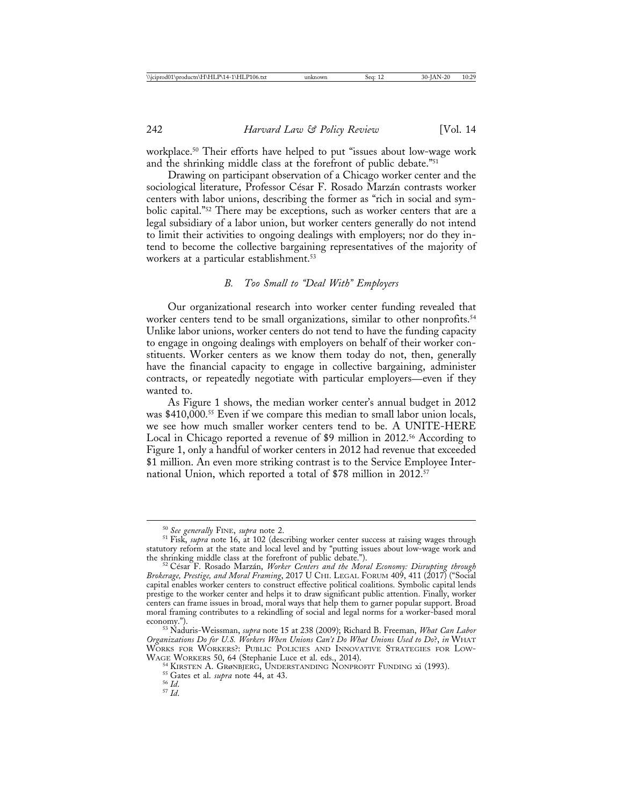workplace.50 Their efforts have helped to put "issues about low-wage work and the shrinking middle class at the forefront of public debate."51

Drawing on participant observation of a Chicago worker center and the sociological literature, Professor César F. Rosado Marzán contrasts worker centers with labor unions, describing the former as "rich in social and symbolic capital."52 There may be exceptions, such as worker centers that are a legal subsidiary of a labor union, but worker centers generally do not intend to limit their activities to ongoing dealings with employers; nor do they intend to become the collective bargaining representatives of the majority of workers at a particular establishment.<sup>53</sup>

#### *B. Too Small to "Deal With" Employers*

Our organizational research into worker center funding revealed that worker centers tend to be small organizations, similar to other nonprofits.<sup>54</sup> Unlike labor unions, worker centers do not tend to have the funding capacity to engage in ongoing dealings with employers on behalf of their worker constituents. Worker centers as we know them today do not, then, generally have the financial capacity to engage in collective bargaining, administer contracts, or repeatedly negotiate with particular employers—even if they wanted to.

As Figure 1 shows, the median worker center's annual budget in 2012 was \$410,000.<sup>55</sup> Even if we compare this median to small labor union locals, we see how much smaller worker centers tend to be. A UNITE-HERE Local in Chicago reported a revenue of \$9 million in 2012.<sup>56</sup> According to Figure 1, only a handful of worker centers in 2012 had revenue that exceeded \$1 million. An even more striking contrast is to the Service Employee International Union, which reported a total of \$78 million in 2012.<sup>57</sup>

<sup>50</sup> *See generally* FINE, *supra* note 2. <sup>51</sup> Fisk, *supra* note 16, at 102 (describing worker center success at raising wages through statutory reform at the state and local level and by "putting issues about low-wage work and the shrinking middle class at the forefront of public debate.").

<sup>&</sup>lt;sup>52</sup> César F. Rosado Marzán, *Worker Centers and the Moral Economy: Disrupting through Brokerage, Prestige, and Moral Framing*, 2017 U CHI. LEGAL FORUM 409, 411 (2017) ("Social capital enables worker centers to construct effective political coalitions. Symbolic capital lends prestige to the worker center and helps it to draw significant public attention. Finally, worker centers can frame issues in broad, moral ways that help them to garner popular support. Broad moral framing contributes to a rekindling of social and legal norms for a worker-based moral economy.").

<sup>&</sup>lt;sup>53</sup> Naduris-Weissman, *supra* note 15 at 238 (2009); Richard B. Freeman, *What Can Labor Organizations Do for U.S. Workers When Unions Can't Do What Unions Used to Do*?, *in* WHAT WORKS FOR WORKERS?: PUBLIC POLICIES AND INNOVATIVE STRATEGIES FOR LOW-WAGE WORKERS 50, 64 (Stephanie Luce et al. eds., 2014).

<sup>&</sup>lt;sup>54</sup> KIRSTEN A. GRøNBJERG, UNDERSTANDING NONPROFIT FUNDING xi (1993). <sup>55</sup> Gates et al. *supra* note 44, at 43. 57 *Id.* 57 *Id.*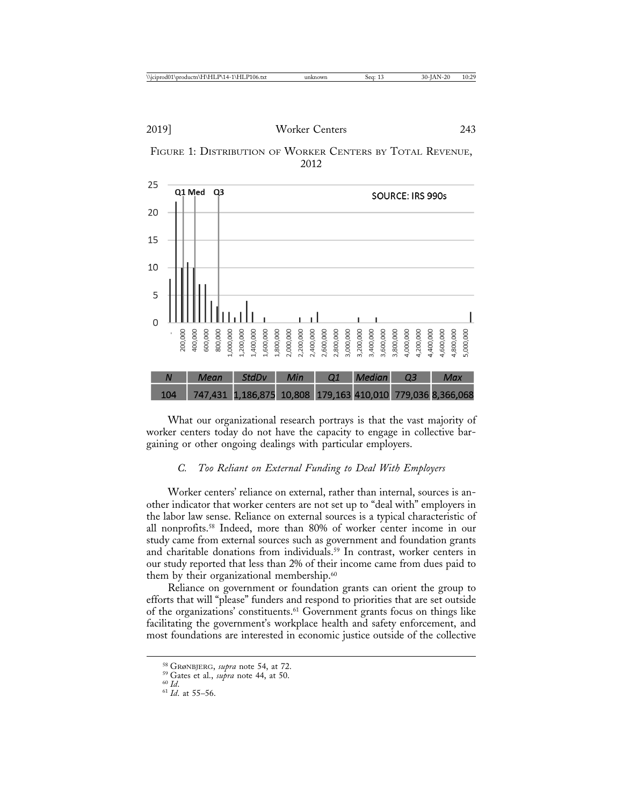



What our organizational research portrays is that the vast majority of worker centers today do not have the capacity to engage in collective bargaining or other ongoing dealings with particular employers.

# *C. Too Reliant on External Funding to Deal With Employers*

Worker centers' reliance on external, rather than internal, sources is another indicator that worker centers are not set up to "deal with" employers in the labor law sense. Reliance on external sources is a typical characteristic of all nonprofits.58 Indeed, more than 80% of worker center income in our study came from external sources such as government and foundation grants and charitable donations from individuals.<sup>59</sup> In contrast, worker centers in our study reported that less than 2% of their income came from dues paid to them by their organizational membership.<sup>60</sup>

Reliance on government or foundation grants can orient the group to efforts that will "please" funders and respond to priorities that are set outside of the organizations' constituents.61 Government grants focus on things like facilitating the government's workplace health and safety enforcement, and most foundations are interested in economic justice outside of the collective

<sup>58</sup> GRøNBJERG, *supra* note 54, at 72. <sup>59</sup> Gates et al., *supra* note 44, at 50. <sup>60</sup> *Id*. <sup>61</sup> *Id*. at 55–56.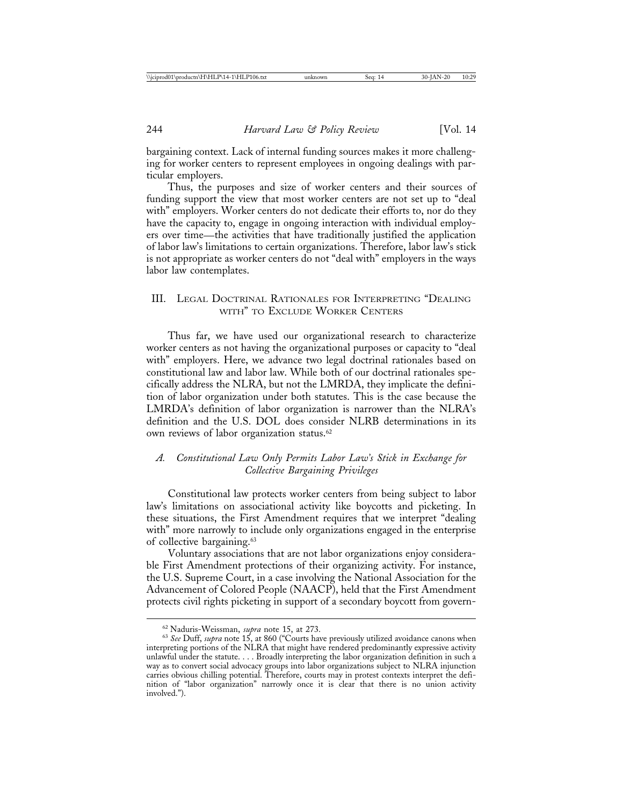bargaining context. Lack of internal funding sources makes it more challenging for worker centers to represent employees in ongoing dealings with particular employers.

Thus, the purposes and size of worker centers and their sources of funding support the view that most worker centers are not set up to "deal with" employers. Worker centers do not dedicate their efforts to, nor do they have the capacity to, engage in ongoing interaction with individual employers over time—the activities that have traditionally justified the application of labor law's limitations to certain organizations. Therefore, labor law's stick is not appropriate as worker centers do not "deal with" employers in the ways labor law contemplates.

# III. LEGAL DOCTRINAL RATIONALES FOR INTERPRETING "DEALING WITH" TO EXCLUDE WORKER CENTERS

Thus far, we have used our organizational research to characterize worker centers as not having the organizational purposes or capacity to "deal with" employers. Here, we advance two legal doctrinal rationales based on constitutional law and labor law. While both of our doctrinal rationales specifically address the NLRA, but not the LMRDA, they implicate the definition of labor organization under both statutes. This is the case because the LMRDA's definition of labor organization is narrower than the NLRA's definition and the U.S. DOL does consider NLRB determinations in its own reviews of labor organization status.<sup>62</sup>

## *A. Constitutional Law Only Permits Labor Law's Stick in Exchange for Collective Bargaining Privileges*

Constitutional law protects worker centers from being subject to labor law's limitations on associational activity like boycotts and picketing. In these situations, the First Amendment requires that we interpret "dealing with" more narrowly to include only organizations engaged in the enterprise of collective bargaining.<sup>63</sup>

Voluntary associations that are not labor organizations enjoy considerable First Amendment protections of their organizing activity. For instance, the U.S. Supreme Court, in a case involving the National Association for the Advancement of Colored People (NAACP), held that the First Amendment protects civil rights picketing in support of a secondary boycott from govern-

<sup>&</sup>lt;sup>62</sup> Naduris-Weissman, *supra* note 15, at 273.<br><sup>63</sup> *See* Duff, *supra* note 15, at 860 ("Courts have previously utilized avoidance canons when interpreting portions of the NLRA that might have rendered predominantly expressive activity unlawful under the statute. . . . Broadly interpreting the labor organization definition in such a way as to convert social advocacy groups into labor organizations subject to NLRA injunction carries obvious chilling potential. Therefore, courts may in protest contexts interpret the definition of "labor organization" narrowly once it is clear that there is no union activity involved.").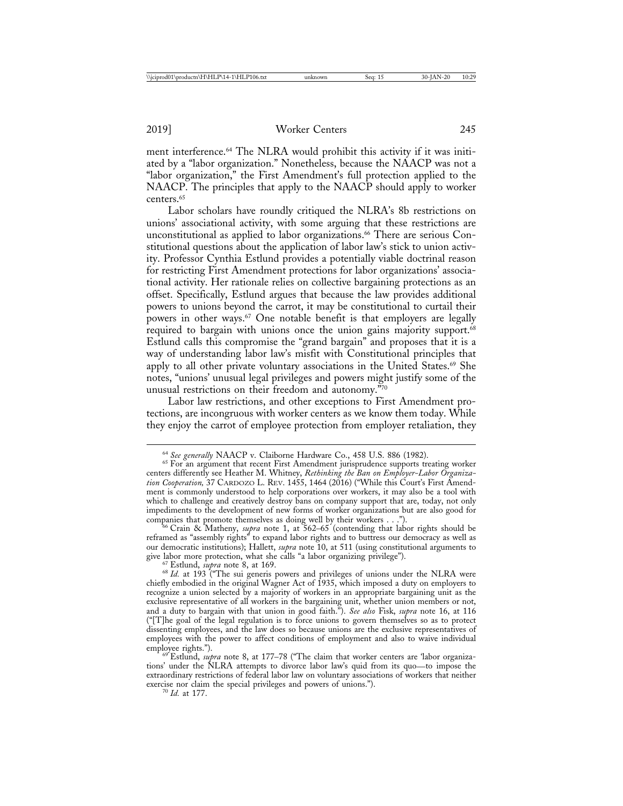ment interference.<sup>64</sup> The NLRA would prohibit this activity if it was initiated by a "labor organization." Nonetheless, because the NAACP was not a "labor organization," the First Amendment's full protection applied to the NAACP. The principles that apply to the NAACP should apply to worker centers.65

Labor scholars have roundly critiqued the NLRA's 8b restrictions on unions' associational activity, with some arguing that these restrictions are unconstitutional as applied to labor organizations.<sup>66</sup> There are serious Constitutional questions about the application of labor law's stick to union activity. Professor Cynthia Estlund provides a potentially viable doctrinal reason for restricting First Amendment protections for labor organizations' associational activity. Her rationale relies on collective bargaining protections as an offset. Specifically, Estlund argues that because the law provides additional powers to unions beyond the carrot, it may be constitutional to curtail their powers in other ways.<sup>67</sup> One notable benefit is that employers are legally required to bargain with unions once the union gains majority support.<sup>68</sup> Estlund calls this compromise the "grand bargain" and proposes that it is a way of understanding labor law's misfit with Constitutional principles that apply to all other private voluntary associations in the United States.<sup>69</sup> She notes, "unions' unusual legal privileges and powers might justify some of the unusual restrictions on their freedom and autonomy."70

Labor law restrictions, and other exceptions to First Amendment protections, are incongruous with worker centers as we know them today. While they enjoy the carrot of employee protection from employer retaliation, they

companies that promote themselves as doing well by their workers . . ."). <sup>66</sup> Crain & Matheny, *supra* note 1, at 562–65 (contending that labor rights should be reframed as "assembly rights" to expand labor rights and to buttress our democracy as well as our democratic institutions); Hallett, *supra* note 10, at 511 (using constitutional arguments to give labor more protection, what she calls "a labor organizing privilege").

<sup>67</sup> Estlund, *supra* note 8, at 169. **68** *Id.* at 193 ("The sui generis powers and privileges of unions under the NLRA were chiefly embodied in the original Wagner Act of 1935, which imposed a duty on employers to recognize a union selected by a majority of workers in an appropriate bargaining unit as the exclusive representative of all workers in the bargaining unit, whether union members or not, and a duty to bargain with that union in good faith."). *See also* Fisk, *supra* note 16, at 116 ("[T]he goal of the legal regulation is to force unions to govern themselves so as to protect dissenting employees, and the law does so because unions are the exclusive representatives of employees with the power to affect conditions of employment and also to waive individual

employee rights.").<br><sup>69</sup> Estlund, *supra* note 8, at 177–78 ("The claim that worker centers are 'labor organizations' under the NLRA attempts to divorce labor law's quid from its quo—to impose the extraordinary restrictions of federal labor law on voluntary associations of workers that neither exercise nor claim the special privileges and powers of unions."). <sup>70</sup> *Id.* at 177.

<sup>&</sup>lt;sup>64</sup> See generally NAACP v. Claiborne Hardware Co., 458 U.S. 886 (1982).<br><sup>65</sup> For an argument that recent First Amendment jurisprudence supports treating worker centers differently see Heather M. Whitney, *Rethinking the Ban on Employer-Labor Organization Cooperation,* 37 CARDOZO L. REV. 1455, 1464 (2016) ("While this Court's First Amendment is commonly understood to help corporations over workers, it may also be a tool with which to challenge and creatively destroy bans on company support that are, today, not only impediments to the development of new forms of worker organizations but are also good for companies that promote themselves as doing well by their workers . . .").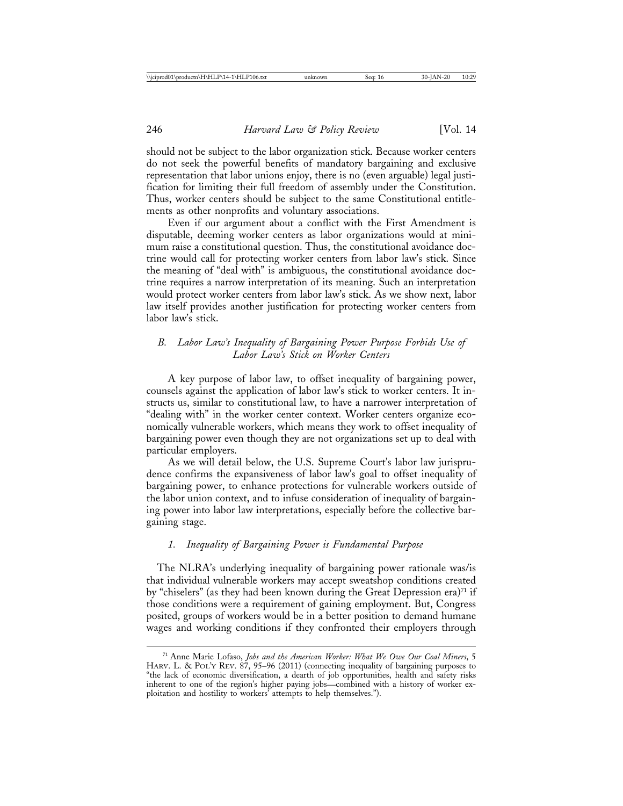should not be subject to the labor organization stick. Because worker centers do not seek the powerful benefits of mandatory bargaining and exclusive representation that labor unions enjoy, there is no (even arguable) legal justification for limiting their full freedom of assembly under the Constitution. Thus, worker centers should be subject to the same Constitutional entitlements as other nonprofits and voluntary associations.

Even if our argument about a conflict with the First Amendment is disputable, deeming worker centers as labor organizations would at minimum raise a constitutional question. Thus, the constitutional avoidance doctrine would call for protecting worker centers from labor law's stick. Since the meaning of "deal with" is ambiguous, the constitutional avoidance doctrine requires a narrow interpretation of its meaning. Such an interpretation would protect worker centers from labor law's stick. As we show next, labor law itself provides another justification for protecting worker centers from labor law's stick.

## *B. Labor Law's Inequality of Bargaining Power Purpose Forbids Use of Labor Law's Stick on Worker Centers*

A key purpose of labor law, to offset inequality of bargaining power, counsels against the application of labor law's stick to worker centers. It instructs us, similar to constitutional law, to have a narrower interpretation of "dealing with" in the worker center context. Worker centers organize economically vulnerable workers, which means they work to offset inequality of bargaining power even though they are not organizations set up to deal with particular employers.

As we will detail below, the U.S. Supreme Court's labor law jurisprudence confirms the expansiveness of labor law's goal to offset inequality of bargaining power, to enhance protections for vulnerable workers outside of the labor union context, and to infuse consideration of inequality of bargaining power into labor law interpretations, especially before the collective bargaining stage.

### *1. Inequality of Bargaining Power is Fundamental Purpose*

 The NLRA's underlying inequality of bargaining power rationale was/is that individual vulnerable workers may accept sweatshop conditions created by "chiselers" (as they had been known during the Great Depression era)<sup>71</sup> if those conditions were a requirement of gaining employment. But, Congress posited, groups of workers would be in a better position to demand humane wages and working conditions if they confronted their employers through

<sup>71</sup> Anne Marie Lofaso, *Jobs and the American Worker: What We Owe Our Coal Miners*, 5 HARV. L. & POL'Y REV. 87, 95-96 (2011) (connecting inequality of bargaining purposes to "the lack of economic diversification, a dearth of job opportunities, health and safety risks inherent to one of the region's higher paying jobs—combined with a history of worker exploitation and hostility to workers' attempts to help themselves.").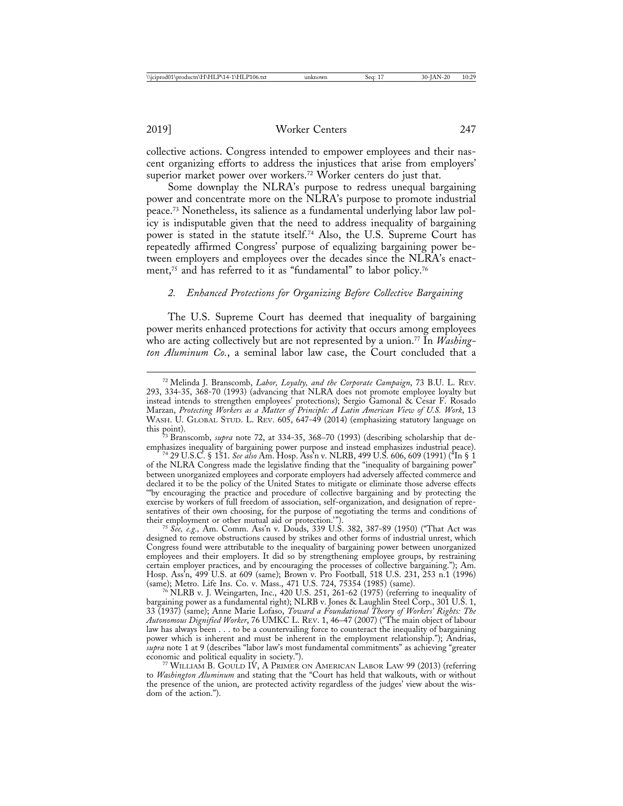2019] Worker Centers 247

collective actions. Congress intended to empower employees and their nascent organizing efforts to address the injustices that arise from employers' superior market power over workers.<sup>72</sup> Worker centers do just that.

Some downplay the NLRA's purpose to redress unequal bargaining power and concentrate more on the NLRA's purpose to promote industrial peace.73 Nonetheless, its salience as a fundamental underlying labor law policy is indisputable given that the need to address inequality of bargaining power is stated in the statute itself.74 Also, the U.S. Supreme Court has repeatedly affirmed Congress' purpose of equalizing bargaining power between employers and employees over the decades since the NLRA's enactment,<sup>75</sup> and has referred to it as "fundamental" to labor policy.<sup>76</sup>

# *2. Enhanced Protections for Organizing Before Collective Bargaining*

The U.S. Supreme Court has deemed that inequality of bargaining power merits enhanced protections for activity that occurs among employees who are acting collectively but are not represented by a union.<sup>77</sup> In *Washington Aluminum Co.*, a seminal labor law case, the Court concluded that a

emphasizes inequality of bargaining power purpose and instead emphasizes industrial peace). <sup>74</sup> 29 U.S.C. § 151. *See also* Am. Hosp. Ass'n v. NLRB, 499 U.S. 606, 609 (1991) ("In § 1 of the NLRA Congress made the legislative finding that the "inequality of bargaining power" between unorganized employees and corporate employers had adversely affected commerce and declared it to be the policy of the United States to mitigate or eliminate those adverse effects '"by encouraging the practice and procedure of collective bargaining and by protecting the exercise by workers of full freedom of association, self-organization, and designation of representatives of their own choosing, for the purpose of negotiating the terms and conditions of their employment or other mutual aid or protection.").

<sup>75</sup> See, e.g., Am. Comm. Ass'n v. Douds, 339 U.S. 382, 387-89 (1950) ("That Act was designed to remove obstructions caused by strikes and other forms of industrial unrest, which Congress found were attributable to the inequality of bargaining power between unorganized employees and their employers. It did so by strengthening employee groups, by restraining certain employer practices, and by encouraging the processes of collective bargaining."); Am. Hosp. Ass'n, 499 U.S. at 609 (same); Brown v. Pro Football, 518 U.S. 231, 253 n.1 (1996) (same); Metro. Life Ins. Co. v. Mass., 471 U.S. 724, 75354 (1985) (same). <sup>76</sup> NLRB v. J. Weingarten, Inc., 420 U.S. 251, 261-62 (1975) (referring to inequality of

bargaining power as a fundamental right); NLRB v. Jones & Laughlin Steel Corp., 301 U.S. 1, 33 (1937) (same); Anne Marie Lofaso, *Toward a Foundational Theory of Workers' Rights: The Autonomous Dignified Worker*, 76 UMKC L. REV. 1, 46–47 (2007) ("The main object of labour law has always been . . . to be a countervailing force to counteract the inequality of bargaining power which is inherent and must be inherent in the employment relationship."); Andrias, *supra* note 1 at 9 (describes "labor law's most fundamental commitments" as achieving "greater economic and political equality in society.").

<sup>77</sup> WILLIAM B. GOULD IV, A PRIMER ON AMERICAN LABOR LAW 99 (2013) (referring to *Washington Aluminum* and stating that the "Court has held that walkouts, with or without the presence of the union, are protected activity regardless of the judges' view about the wisdom of the action.").

<sup>72</sup> Melinda J. Branscomb, *Labor, Loyalty, and the Corporate Campaign*, 73 B.U. L. REV. 293, 334-35, 368-70 (1993) (advancing that NLRA does not promote employee loyalty but instead intends to strengthen employees' protections); Sergio Gamonal & Cesar F. Rosado Marzan, *Protecting Workers as a Matter of Principle: A Latin American View of U.S. Work*, 13 WASH. U. GLOBAL STUD. L. REV. 605, 647-49 (2014) (emphasizing statutory language on this point).

<sup>&</sup>lt;sup>73</sup> Branscomb, *supra* note 72, at 334-35, 368–70 (1993) (describing scholarship that de-emphasizes inequality of bargaining power purpose and instead emphasizes industrial peace).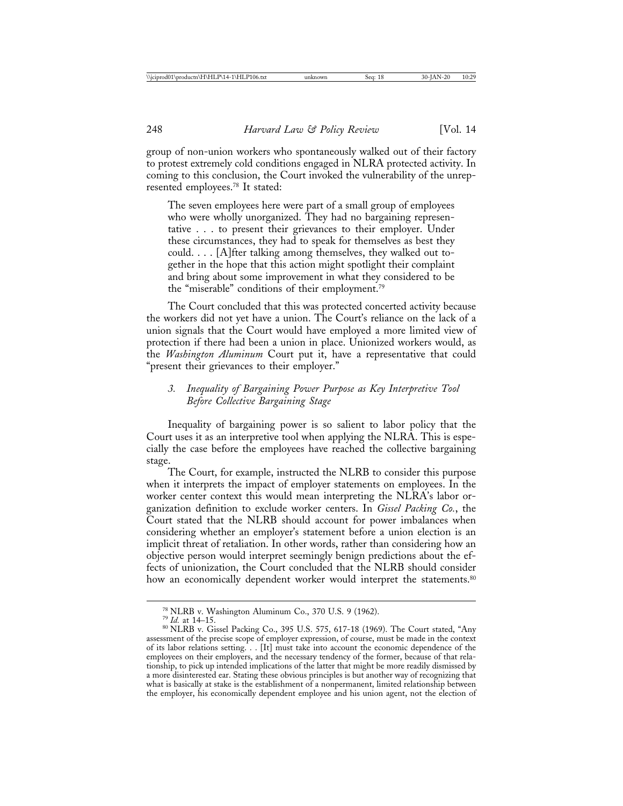group of non-union workers who spontaneously walked out of their factory to protest extremely cold conditions engaged in NLRA protected activity. In coming to this conclusion, the Court invoked the vulnerability of the unrepresented employees.78 It stated:

The seven employees here were part of a small group of employees who were wholly unorganized. They had no bargaining representative . . . to present their grievances to their employer. Under these circumstances, they had to speak for themselves as best they could. . . . [A]fter talking among themselves, they walked out together in the hope that this action might spotlight their complaint and bring about some improvement in what they considered to be the "miserable" conditions of their employment.79

The Court concluded that this was protected concerted activity because the workers did not yet have a union. The Court's reliance on the lack of a union signals that the Court would have employed a more limited view of protection if there had been a union in place. Unionized workers would, as the *Washington Aluminum* Court put it, have a representative that could "present their grievances to their employer."

# *3. Inequality of Bargaining Power Purpose as Key Interpretive Tool Before Collective Bargaining Stage*

Inequality of bargaining power is so salient to labor policy that the Court uses it as an interpretive tool when applying the NLRA. This is especially the case before the employees have reached the collective bargaining stage.

The Court, for example, instructed the NLRB to consider this purpose when it interprets the impact of employer statements on employees. In the worker center context this would mean interpreting the NLRA's labor organization definition to exclude worker centers. In *Gissel Packing Co.*, the Court stated that the NLRB should account for power imbalances when considering whether an employer's statement before a union election is an implicit threat of retaliation. In other words, rather than considering how an objective person would interpret seemingly benign predictions about the effects of unionization, the Court concluded that the NLRB should consider how an economically dependent worker would interpret the statements.<sup>80</sup>

<sup>&</sup>lt;sup>78</sup> NLRB v. Washington Aluminum Co., 370 U.S. 9 (1962).<br><sup>79</sup> *Id.* at 14–15.<br><sup>80</sup> NLRB v. Gissel Packing Co., 395 U.S. 575, 617-18 (1969). The Court stated, "Any assessment of the precise scope of employer expression, of course, must be made in the context of its labor relations setting. . . [It] must take into account the economic dependence of the employees on their employers, and the necessary tendency of the former, because of that relationship, to pick up intended implications of the latter that might be more readily dismissed by a more disinterested ear. Stating these obvious principles is but another way of recognizing that what is basically at stake is the establishment of a nonpermanent, limited relationship between the employer, his economically dependent employee and his union agent, not the election of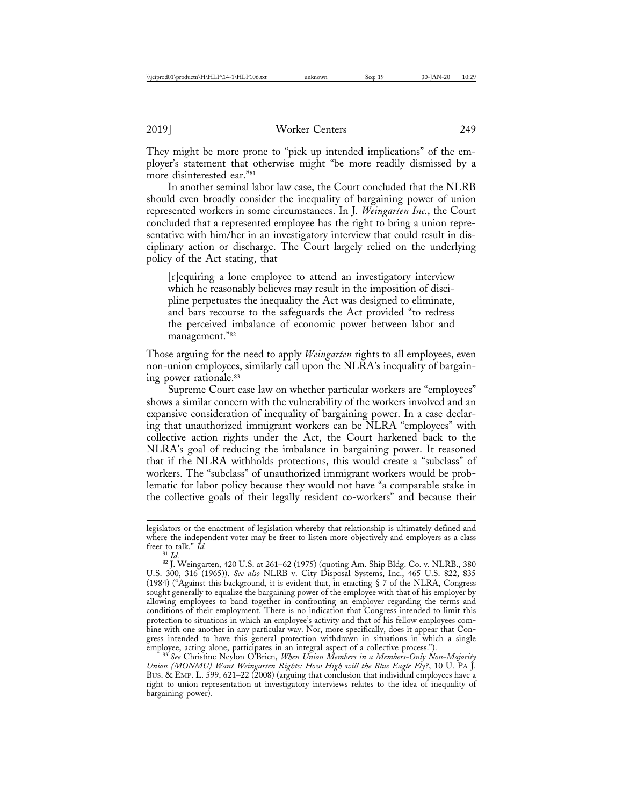They might be more prone to "pick up intended implications" of the employer's statement that otherwise might "be more readily dismissed by a more disinterested ear."81

In another seminal labor law case, the Court concluded that the NLRB should even broadly consider the inequality of bargaining power of union represented workers in some circumstances. In J. *Weingarten Inc.*, the Court concluded that a represented employee has the right to bring a union representative with him/her in an investigatory interview that could result in disciplinary action or discharge. The Court largely relied on the underlying policy of the Act stating, that

[r]equiring a lone employee to attend an investigatory interview which he reasonably believes may result in the imposition of discipline perpetuates the inequality the Act was designed to eliminate, and bars recourse to the safeguards the Act provided "to redress the perceived imbalance of economic power between labor and management."82

Those arguing for the need to apply *Weingarten* rights to all employees, even non-union employees, similarly call upon the NLRA's inequality of bargaining power rationale.83

Supreme Court case law on whether particular workers are "employees" shows a similar concern with the vulnerability of the workers involved and an expansive consideration of inequality of bargaining power. In a case declaring that unauthorized immigrant workers can be NLRA "employees" with collective action rights under the Act, the Court harkened back to the NLRA's goal of reducing the imbalance in bargaining power. It reasoned that if the NLRA withholds protections, this would create a "subclass" of workers. The "subclass" of unauthorized immigrant workers would be problematic for labor policy because they would not have "a comparable stake in the collective goals of their legally resident co-workers" and because their

legislators or the enactment of legislation whereby that relationship is ultimately defined and where the independent voter may be freer to listen more objectively and employers as a class freer to talk."  $Id$ .

<sup>&</sup>lt;sup>81</sup> *Id.* 82 *Id.* 820 U.S. at 261–62 (1975) (quoting Am. Ship Bldg. Co. v. NLRB., 380 U.S. 300, 316 (1965)). *See also* NLRB v. City Disposal Systems, Inc., 465 U.S. 822, 835 (1984) ("Against this background, it is evident that, in enacting § 7 of the NLRA, Congress sought generally to equalize the bargaining power of the employee with that of his employer by allowing employees to band together in confronting an employer regarding the terms and conditions of their employment. There is no indication that Congress intended to limit this protection to situations in which an employee's activity and that of his fellow employees combine with one another in any particular way. Nor, more specifically, does it appear that Congress intended to have this general protection withdrawn in situations in which a single employee, acting alone, participates in an integral aspect of a collective process.").

<sup>&</sup>lt;sup>83'</sup> See Christine Neylon O'Brien, *When Union Members in a Members-Only Non-Majority Union (MONMU) Want Weingarten Rights: How High will the Blue Eagle Fly?*, 10 U. PA J. BUS. & EMP. L. 599, 621–22 (2008) (arguing that conclusion that individual employees have a right to union representation at investigatory interviews relates to the idea of inequality of bargaining power).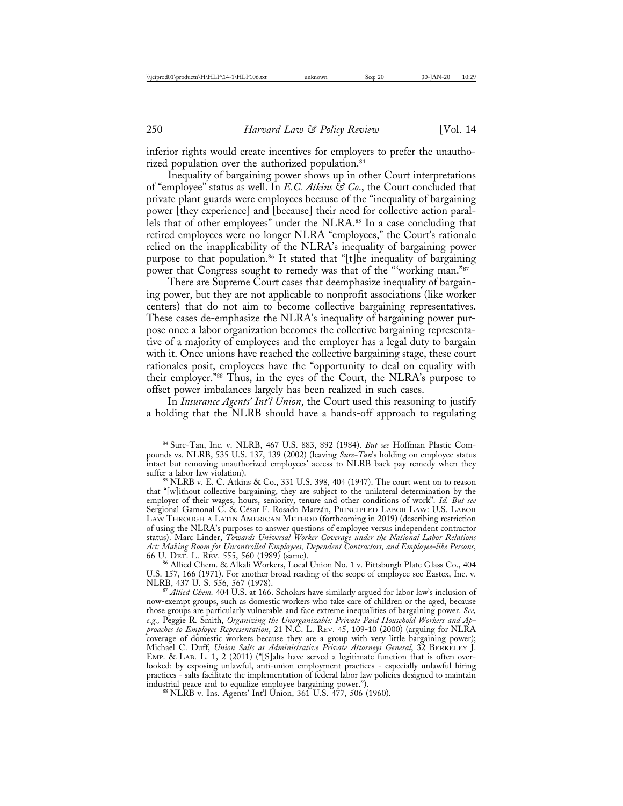inferior rights would create incentives for employers to prefer the unauthorized population over the authorized population.<sup>84</sup>

Inequality of bargaining power shows up in other Court interpretations of "employee" status as well. In *E.C. Atkins & Co*., the Court concluded that private plant guards were employees because of the "inequality of bargaining power [they experience] and [because] their need for collective action parallels that of other employees" under the NLRA.<sup>85</sup> In a case concluding that retired employees were no longer NLRA "employees," the Court's rationale relied on the inapplicability of the NLRA's inequality of bargaining power purpose to that population.<sup>86</sup> It stated that "[t]he inequality of bargaining power that Congress sought to remedy was that of the "'working man."87

There are Supreme Court cases that deemphasize inequality of bargaining power, but they are not applicable to nonprofit associations (like worker centers) that do not aim to become collective bargaining representatives. These cases de-emphasize the NLRA's inequality of bargaining power purpose once a labor organization becomes the collective bargaining representative of a majority of employees and the employer has a legal duty to bargain with it. Once unions have reached the collective bargaining stage, these court rationales posit, employees have the "opportunity to deal on equality with their employer."88 Thus, in the eyes of the Court, the NLRA's purpose to offset power imbalances largely has been realized in such cases.

In *Insurance Agents' Int'l Union*, the Court used this reasoning to justify a holding that the NLRB should have a hands-off approach to regulating

<sup>86</sup> Allied Chem. & Alkali Workers, Local Union No. 1 v. Pittsburgh Plate Glass Co., 404 U.S. 157, 166 (1971). For another broad reading of the scope of employee see Eastex, Inc. v.

<sup>87</sup> Allied Chem. 404 U.S. at 166. Scholars have similarly argued for labor law's inclusion of now-exempt groups, such as domestic workers who take care of children or the aged, because those groups are particularly vulnerable and face extreme inequalities of bargaining power. *See, e.g.,* Peggie R. Smith, *Organizing the Unorganizable: Private Paid Household Workers and Approaches to Employee Representation*, 21 N.C. L. REV. 45, 109-10 (2000) (arguing for NLRA coverage of domestic workers because they are a group with very little bargaining power); Michael C. Duff, *Union Salts as Administrative Private Attorneys General*, 32 BERKELEY J. EMP. & LAB. L. 1, 2 (2011) ("[S]alts have served a legitimate function that is often overlooked: by exposing unlawful, anti-union employment practices - especially unlawful hiring practices - salts facilitate the implementation of federal labor law policies designed to maintain<br>industrial peace and to equalize employee bargaining power.").

 $88$  NLRB v. Ins. Agents' Int'l Union, 361 U.S.  $477$ , 506 (1960).

<sup>84</sup> Sure-Tan, Inc. v. NLRB, 467 U.S. 883, 892 (1984). *But see* Hoffman Plastic Compounds vs. NLRB, 535 U.S. 137, 139 (2002) (leaving *Sure-Tan*'s holding on employee status intact but removing unauthorized employees' access to NLRB back pay remedy when they

 $85$  NLRB v. E. C. Atkins & Co., 331 U.S. 398, 404 (1947). The court went on to reason that "[w]ithout collective bargaining, they are subject to the unilateral determination by the employer of their wages, hours, seniority, tenure and other conditions of work". *Id. But see* Sergional Gamonal C. & César F. Rosado Marzán, PRINCIPLED LABOR LAW: U.S. LABOR LAW THROUGH A LATIN AMERICAN METHOD (forthcoming in 2019) (describing restriction of using the NLRA's purposes to answer questions of employee versus independent contractor status). Marc Linder, *Towards Universal Worker Coverage under the National Labor Relations Act: Making Room for Uncontrolled Employees, Dependent Contractors, and Employee-like Persons*,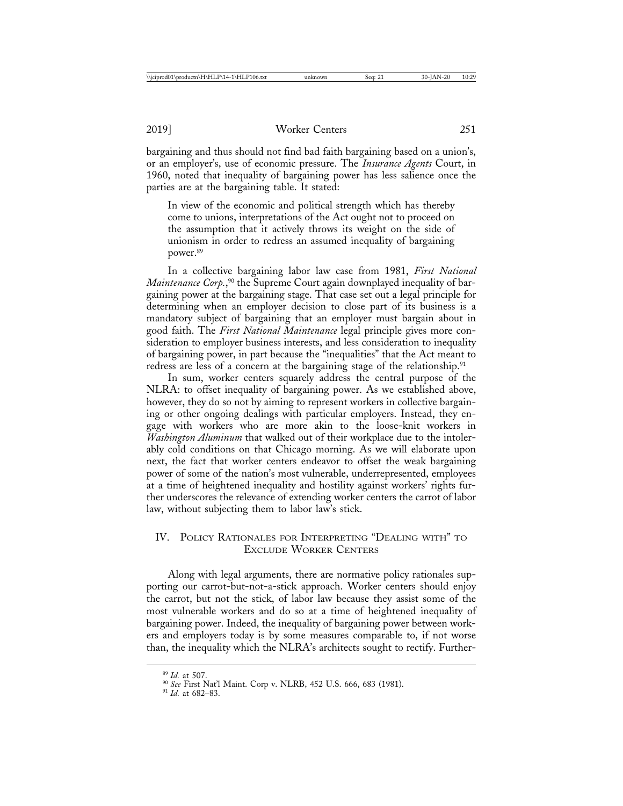bargaining and thus should not find bad faith bargaining based on a union's, or an employer's, use of economic pressure. The *Insurance Agents* Court, in 1960, noted that inequality of bargaining power has less salience once the parties are at the bargaining table. It stated:

In view of the economic and political strength which has thereby come to unions, interpretations of the Act ought not to proceed on the assumption that it actively throws its weight on the side of unionism in order to redress an assumed inequality of bargaining power.89

In a collective bargaining labor law case from 1981, *First National Maintenance Corp.*, 90 the Supreme Court again downplayed inequality of bargaining power at the bargaining stage. That case set out a legal principle for determining when an employer decision to close part of its business is a mandatory subject of bargaining that an employer must bargain about in good faith. The *First National Maintenance* legal principle gives more consideration to employer business interests, and less consideration to inequality of bargaining power, in part because the "inequalities" that the Act meant to redress are less of a concern at the bargaining stage of the relationship.<sup>91</sup>

In sum, worker centers squarely address the central purpose of the NLRA: to offset inequality of bargaining power. As we established above, however, they do so not by aiming to represent workers in collective bargaining or other ongoing dealings with particular employers. Instead, they engage with workers who are more akin to the loose-knit workers in *Washington Aluminum* that walked out of their workplace due to the intolerably cold conditions on that Chicago morning. As we will elaborate upon next, the fact that worker centers endeavor to offset the weak bargaining power of some of the nation's most vulnerable, underrepresented, employees at a time of heightened inequality and hostility against workers' rights further underscores the relevance of extending worker centers the carrot of labor law, without subjecting them to labor law's stick.

# IV. POLICY RATIONALES FOR INTERPRETING "DEALING WITH" TO EXCLUDE WORKER CENTERS

Along with legal arguments, there are normative policy rationales supporting our carrot-but-not-a-stick approach. Worker centers should enjoy the carrot, but not the stick, of labor law because they assist some of the most vulnerable workers and do so at a time of heightened inequality of bargaining power. Indeed, the inequality of bargaining power between workers and employers today is by some measures comparable to, if not worse than, the inequality which the NLRA's architects sought to rectify. Further-

<sup>89</sup> *Id.* at 507. <sup>90</sup> *See* First Nat'l Maint. Corp v. NLRB, 452 U.S. 666, 683 (1981). <sup>91</sup> *Id.* at 682–83.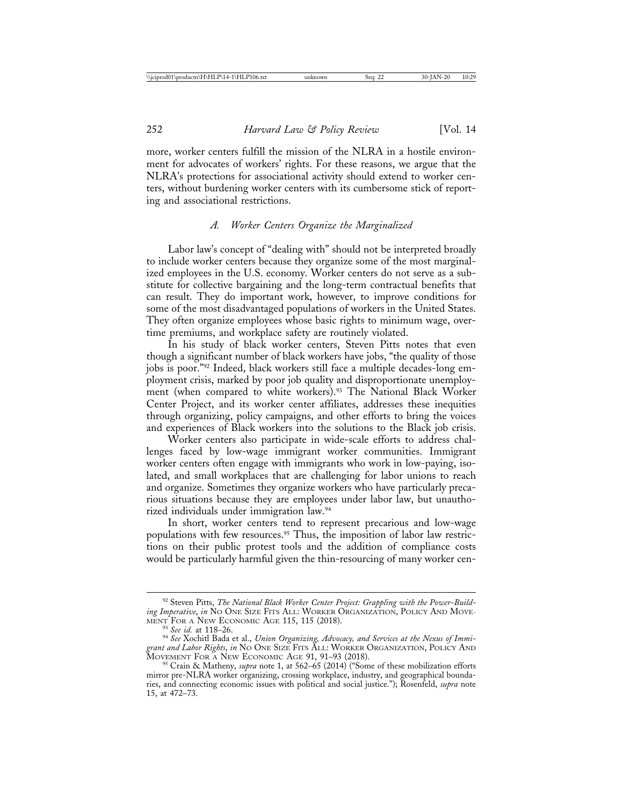more, worker centers fulfill the mission of the NLRA in a hostile environment for advocates of workers' rights. For these reasons, we argue that the NLRA's protections for associational activity should extend to worker centers, without burdening worker centers with its cumbersome stick of reporting and associational restrictions.

#### *A. Worker Centers Organize the Marginalized*

Labor law's concept of "dealing with" should not be interpreted broadly to include worker centers because they organize some of the most marginalized employees in the U.S. economy. Worker centers do not serve as a substitute for collective bargaining and the long-term contractual benefits that can result. They do important work, however, to improve conditions for some of the most disadvantaged populations of workers in the United States. They often organize employees whose basic rights to minimum wage, overtime premiums, and workplace safety are routinely violated.

In his study of black worker centers, Steven Pitts notes that even though a significant number of black workers have jobs, "the quality of those jobs is poor."92 Indeed, black workers still face a multiple decades-long employment crisis, marked by poor job quality and disproportionate unemployment (when compared to white workers).<sup>93</sup> The National Black Worker Center Project, and its worker center affiliates, addresses these inequities through organizing, policy campaigns, and other efforts to bring the voices and experiences of Black workers into the solutions to the Black job crisis.

Worker centers also participate in wide-scale efforts to address challenges faced by low-wage immigrant worker communities. Immigrant worker centers often engage with immigrants who work in low-paying, isolated, and small workplaces that are challenging for labor unions to reach and organize. Sometimes they organize workers who have particularly precarious situations because they are employees under labor law, but unauthorized individuals under immigration law.94

In short, worker centers tend to represent precarious and low-wage populations with few resources.<sup>95</sup> Thus, the imposition of labor law restrictions on their public protest tools and the addition of compliance costs would be particularly harmful given the thin-resourcing of many worker cen-

<sup>92</sup> Steven Pitts, *The National Black Worker Center Project: Grappling with the Power-Building Imperative*, *in* No One Size Fits All: WORKER ORGANIZATION, POLICY AND MOVEMENT FOR A NEW ECONOMIC AGE 115, 115 (2018).

<sup>&</sup>lt;sup>93</sup> See id. at 118–26.<br><sup>94</sup> See Xochitl Bada et al., *Union Organizing, Advocacy, and Services at the Nexus of Immigrant and Labor Rights*, *in* NO ONE SIZE FITS ALL: WORKER ORGANIZATION, POLICY AND

<sup>&</sup>lt;sup>95</sup> Crain & Matheny, *supra* note 1, at 562–65 (2014) ("Some of these mobilization efforts mirror pre-NLRA worker organizing, crossing workplace, industry, and geographical boundaries, and connecting economic issues with political and social justice."); Rosenfeld, *supra* note 15, at 472–73.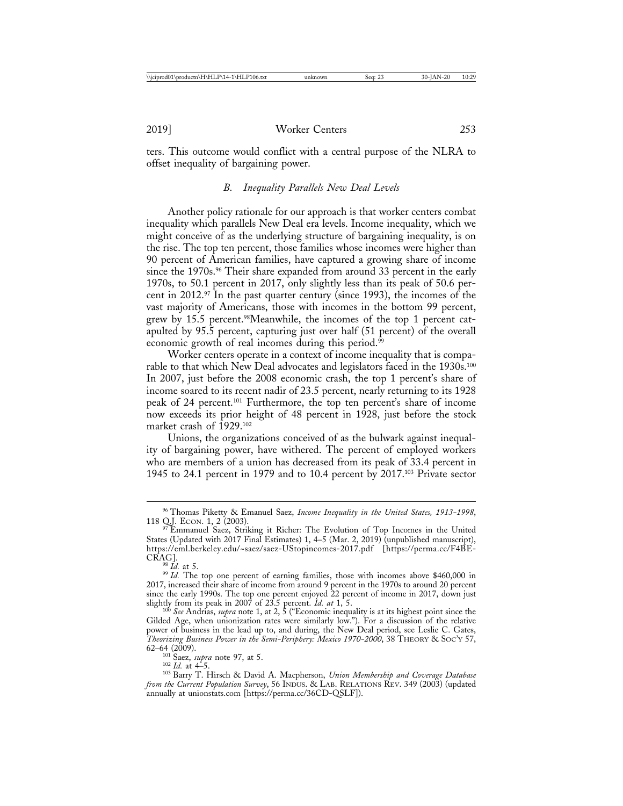ters. This outcome would conflict with a central purpose of the NLRA to offset inequality of bargaining power.

## *B. Inequality Parallels New Deal Levels*

Another policy rationale for our approach is that worker centers combat inequality which parallels New Deal era levels. Income inequality, which we might conceive of as the underlying structure of bargaining inequality, is on the rise. The top ten percent, those families whose incomes were higher than 90 percent of American families, have captured a growing share of income since the 1970s.<sup>96</sup> Their share expanded from around 33 percent in the early 1970s, to 50.1 percent in 2017, only slightly less than its peak of 50.6 percent in 2012.<sup>97</sup> In the past quarter century (since 1993), the incomes of the vast majority of Americans, those with incomes in the bottom 99 percent, grew by 15.5 percent.98Meanwhile, the incomes of the top 1 percent catapulted by 95.5 percent, capturing just over half (51 percent) of the overall economic growth of real incomes during this period.<sup>99</sup>

Worker centers operate in a context of income inequality that is comparable to that which New Deal advocates and legislators faced in the 1930s.<sup>100</sup> In 2007, just before the 2008 economic crash, the top 1 percent's share of income soared to its recent nadir of 23.5 percent, nearly returning to its 1928 peak of 24 percent.101 Furthermore, the top ten percent's share of income now exceeds its prior height of 48 percent in 1928, just before the stock market crash of 1929.<sup>102</sup>

Unions, the organizations conceived of as the bulwark against inequality of bargaining power, have withered. The percent of employed workers who are members of a union has decreased from its peak of 33.4 percent in 1945 to 24.1 percent in 1979 and to 10.4 percent by 2017.103 Private sector

<sup>101</sup> Saez, *supra* note 97, at 5. <sup>102</sup> *Id.* at 4–5. <sup>103</sup> Barry T. Hirsch & David A. Macpherson, *Union Membership and Coverage Database from the Current Population Survey*, 56 INDUS. & LAB. RELATIONS REV. 349 (2003) (updated annually at unionstats.com [https://perma.cc/36CD-QSLF]).

<sup>96</sup> Thomas Piketty & Emanuel Saez, *Income Inequality in the United States, 1913-1998*, 118 Q.J. ECON. 1, 2 (2003). <sup>97</sup> Emmanuel Saez, Striking it Richer: The Evolution of Top Incomes in the United

States (Updated with 2017 Final Estimates) 1, 4–5 (Mar. 2, 2019) (unpublished manuscript), https://eml.berkeley.edu/~saez/saez-UStopincomes-2017.pdf [https://perma.cc/F4BE-

<sup>&</sup>lt;sup>98</sup> *Id.* at 5. 99 *Id.* The top one percent of earning families, those with incomes above \$460,000 in 2017, increased their share of income from around 9 percent in the 1970s to around 20 percent since the early 1990s. The top one percent enjoyed 22 percent of income in 2017, down just slightly from its peak in 2007 of 23.5 percent. *Id. at* 1, 5. 100 *See* Andrias, *supra* note 1, at 2, 5 ("Economic inequality is at its highest point since the

Gilded Age, when unionization rates were similarly low."). For a discussion of the relative power of business in the lead up to, and during, the New Deal period, see Leslie C. Gates, *Theorizing Business Power in the Semi-Periphery: Mexico 1970-2000*, 38 THEORY & SOC'Y 57, 62–64 (2009).<br> $101 \text{ Saez, } \text{supra note } 97, \text{ at } 5.$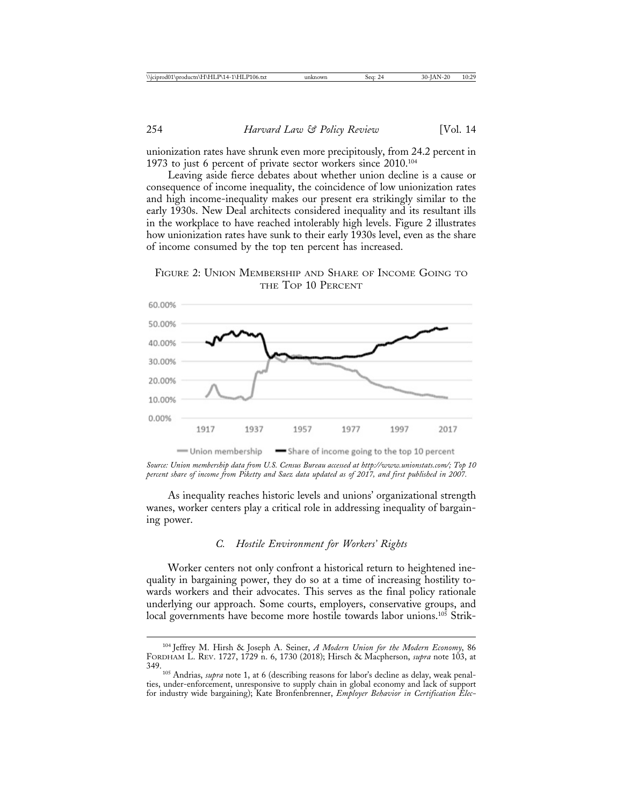unionization rates have shrunk even more precipitously, from 24.2 percent in 1973 to just 6 percent of private sector workers since 2010.104

Leaving aside fierce debates about whether union decline is a cause or consequence of income inequality, the coincidence of low unionization rates and high income-inequality makes our present era strikingly similar to the early 1930s. New Deal architects considered inequality and its resultant ills in the workplace to have reached intolerably high levels. Figure 2 illustrates how unionization rates have sunk to their early 1930s level, even as the share of income consumed by the top ten percent has increased.



FIGURE 2: UNION MEMBERSHIP AND SHARE OF INCOME GOING TO THE TOP 10 PERCENT

*Source: Union membership data from U.S. Census Bureau accessed at http://www.unionstats.com/; Top 10 percent share of income from Piketty and Saez data updated as of 2017, and first published in 2007.*

As inequality reaches historic levels and unions' organizational strength wanes, worker centers play a critical role in addressing inequality of bargaining power.

# *C. Hostile Environment for Workers' Rights*

Worker centers not only confront a historical return to heightened inequality in bargaining power, they do so at a time of increasing hostility towards workers and their advocates. This serves as the final policy rationale underlying our approach. Some courts, employers, conservative groups, and local governments have become more hostile towards labor unions.<sup>105</sup> Strik-

<sup>104</sup> Jeffrey M. Hirsh & Joseph A. Seiner, *A Modern Union for the Modern Economy*, 86 FORDHAM L. REV. 1727, 1729 n. 6, 1730 (2018); Hirsch & Macpherson, *supra* note 103, at

<sup>&</sup>lt;sup>105</sup> Andrias, *supra* note 1, at 6 (describing reasons for labor's decline as delay, weak penalties, under-enforcement, unresponsive to supply chain in global economy and lack of support for industry wide bargaining); Kate Bronfenbrenner, *Employer Behavior in Certification Elec-*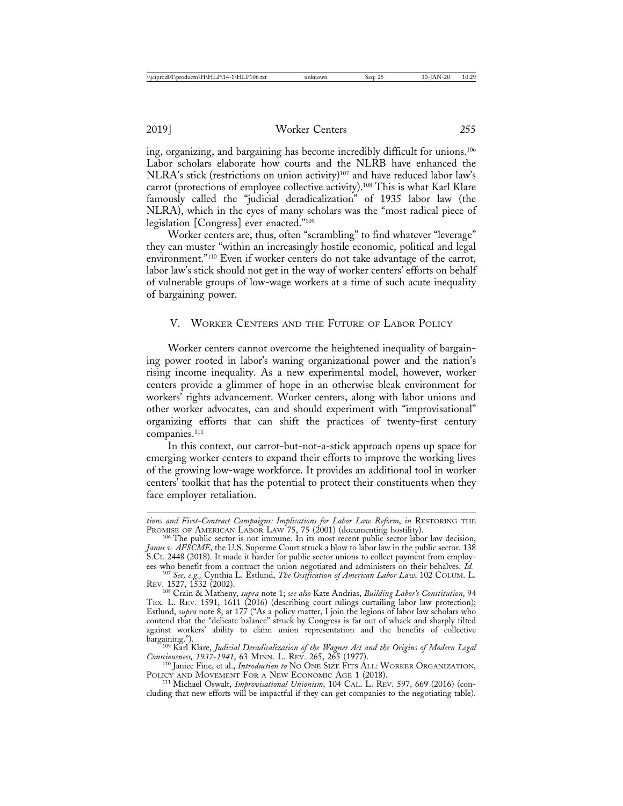ing, organizing, and bargaining has become incredibly difficult for unions.106 Labor scholars elaborate how courts and the NLRB have enhanced the NLRA's stick (restrictions on union activity)<sup>107</sup> and have reduced labor law's carrot (protections of employee collective activity).108 This is what Karl Klare famously called the "judicial deradicalization" of 1935 labor law (the NLRA), which in the eyes of many scholars was the "most radical piece of legislation [Congress] ever enacted."109

Worker centers are, thus, often "scrambling" to find whatever "leverage" they can muster "within an increasingly hostile economic, political and legal environment."110 Even if worker centers do not take advantage of the carrot, labor law's stick should not get in the way of worker centers' efforts on behalf of vulnerable groups of low-wage workers at a time of such acute inequality of bargaining power.

### V. WORKER CENTERS AND THE FUTURE OF LABOR POLICY

Worker centers cannot overcome the heightened inequality of bargaining power rooted in labor's waning organizational power and the nation's rising income inequality. As a new experimental model, however, worker centers provide a glimmer of hope in an otherwise bleak environment for workers' rights advancement. Worker centers, along with labor unions and other worker advocates, can and should experiment with "improvisational" organizing efforts that can shift the practices of twenty-first century companies.111

In this context, our carrot-but-not-a-stick approach opens up space for emerging worker centers to expand their efforts to improve the working lives of the growing low-wage workforce. It provides an additional tool in worker centers' toolkit that has the potential to protect their constituents when they face employer retaliation.

*tions and First-Contract Campaigns: Implications for Labor Law Reform*, *in* RESTORING THE

<sup>&</sup>lt;sup>106</sup> The public sector is not immune. In its most recent public sector labor law decision, *Janus v. AFSCME*, the U.S. Supreme Court struck a blow to labor law in the public sector. 138 S.Ct. 2448 (2018). It made it harder for public sector unions to collect payment from employ-<br>ees who benefit from a contract the union negotiated and administers on their behalves. Id.

<sup>&</sup>lt;sup>107</sup> See, e.g., Cynthia L. Estlund, *The Ossification of American Labor Law*, 102 COLUM. L. REV. 1527, 1532 (2002).

<sup>108</sup> Crain & Matheny, *supra* note 1; *see also* Kate Andrias, *Building Labor's Constitution*, 94 TEX. L. REV. 1591, 1611 (2016) (describing court rulings curtailing labor law protection); Estlund, *supra* note 8, at 177 ("As a policy matter, I join the legions of labor law scholars who contend that the "delicate balance" struck by Congress is far out of whack and sharply tilted against workers' ability to claim union representation and the benefits of collective

bargaining."). <sup>109</sup> Karl Klare, *Judicial Deradicalization of the Wagner Act and the Origins of Modern Legal*

*Consciousness, 1937-1941*, 63 MINN. L. REV. 265, 265 (1977). <sup>110</sup> Janice Fine, et al., *Introduction to* NO ONE SIZE FITS ALL: WORKER ORGANIZATION, POLICY AND MOVEMENT FOR A NEW ECONOMIC AGE 1 (2018).<br><sup>111</sup> Michael Oswalt, *Improvisational Unionism*, 104 CAL. L. REV. 597, 669 (2016) (con-

cluding that new efforts will be impactful if they can get companies to the negotiating table).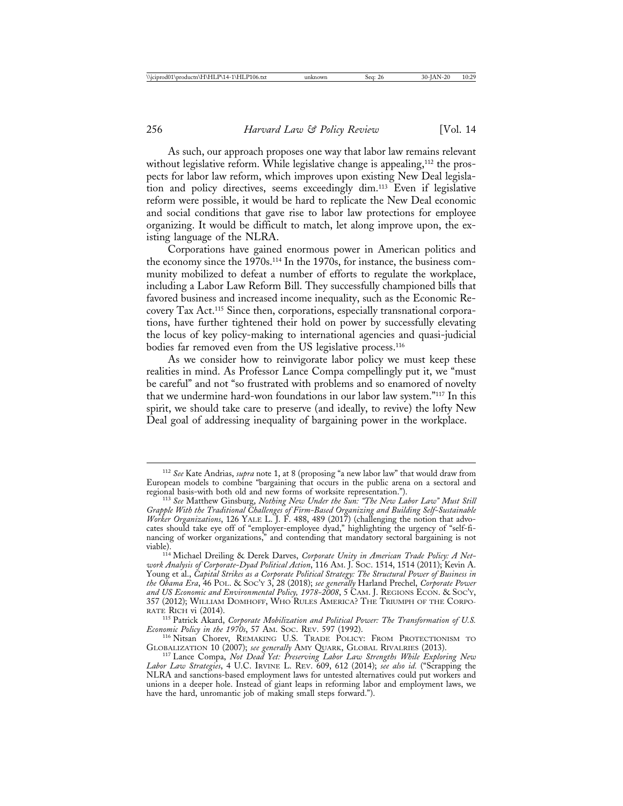As such, our approach proposes one way that labor law remains relevant without legislative reform. While legislative change is appealing,<sup>112</sup> the prospects for labor law reform, which improves upon existing New Deal legislation and policy directives, seems exceedingly dim.113 Even if legislative reform were possible, it would be hard to replicate the New Deal economic and social conditions that gave rise to labor law protections for employee organizing. It would be difficult to match, let along improve upon, the existing language of the NLRA.

Corporations have gained enormous power in American politics and the economy since the 1970s.114 In the 1970s, for instance, the business community mobilized to defeat a number of efforts to regulate the workplace, including a Labor Law Reform Bill. They successfully championed bills that favored business and increased income inequality, such as the Economic Recovery Tax Act.115 Since then, corporations, especially transnational corporations, have further tightened their hold on power by successfully elevating the locus of key policy-making to international agencies and quasi-judicial bodies far removed even from the US legislative process.<sup>116</sup>

As we consider how to reinvigorate labor policy we must keep these realities in mind. As Professor Lance Compa compellingly put it, we "must be careful" and not "so frustrated with problems and so enamored of novelty that we undermine hard-won foundations in our labor law system."117 In this spirit, we should take care to preserve (and ideally, to revive) the lofty New Deal goal of addressing inequality of bargaining power in the workplace.

<sup>112</sup> *See* Kate Andrias, *supra* note 1, at 8 (proposing "a new labor law" that would draw from European models to combine "bargaining that occurs in the public arena on a sectoral and regional basis-with both old and new forms of worksite representation.").

<sup>&</sup>lt;sup>113</sup> See Matthew Ginsburg, Nothing New Under the Sun: "The New Labor Law" Must Still *Grapple With the Traditional Challenges of Firm-Based Organizing and Building Self-Sustainable Worker Organizations*, 126 YALE L. J. F. 488, 489 (2017) (challenging the notion that advocates should take eye off of "employer-employee dyad," highlighting the urgency of "self-financing of worker organizations," and contending that mandatory sectoral bargaining is not

viable). <sup>114</sup> Michael Dreiling & Derek Darves, *Corporate Unity in American Trade Policy: A Network Analysis of Corporate-Dyad Political Action*, 116 AM. J. SOC. 1514, 1514 (2011); Kevin A. Young et al., *Capital Strikes as a Corporate Political Strategy: The Structural Power of Business in the Obama Era*, 46 POL. & SOC'Y 3, 28 (2018); *see generally* Harland Prechel, *Corporate Power and US Economic and Environmental Policy, 1978-2008*, 5 CAM. J. REGIONS ECON. & SOC'Y, 357 (2012); WILLIAM DOMHOFF, WHO RULES AMERICA? THE TRIUMPH OF THE CORPO-

RATE RICH vi (2014).<br><sup>115</sup> Patrick Akard, *Corporate Mobilization and Political Power: The Transformation of U.S. Economic Policy in the 1970s*, 57 AM. Soc. Rev. 597 (1992). <sup>116</sup> Nitsan Chorev, REMAKING U.S. TRADE POLICY: FROM PROTECTIONISM TO

GLOBALIZATION 10 (2007); *see generally* AMY QUARK, GLOBAL RIVALRIES (2013). <sup>117</sup> Lance Compa, *Not Dead Yet: Preserving Labor Law Strengths While Exploring New*

*Labor Law Strategies*, 4 U.C. IRVINE L. REV. 609, 612 (2014); *see also id.* ("Scrapping the NLRA and sanctions-based employment laws for untested alternatives could put workers and unions in a deeper hole. Instead of giant leaps in reforming labor and employment laws, we have the hard, unromantic job of making small steps forward.").